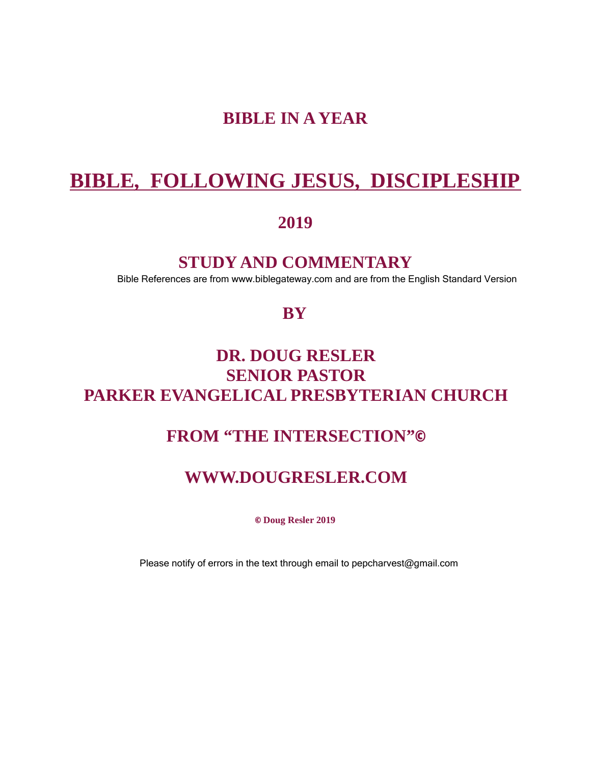# BIBLE IN A YEAR

# BIBLE, FOLLOWING JESUS, DISCIPLESHIP

2019

STUDY AND COMMENTARY

Bible References are from www.biblegateway.com and are from the English Standard Version

**BY** 

# DR. DOUG RESLER SENIOR PASTOR PARKER EVANGELICAL PRESBYTERIAN CHURCH

## FROM "THE INTERSECTION"©

### WWW.DOUGRESLER.COM

© Doug Resler 2019

Please notify of errors in the text through email to pepcharvest@gmail.com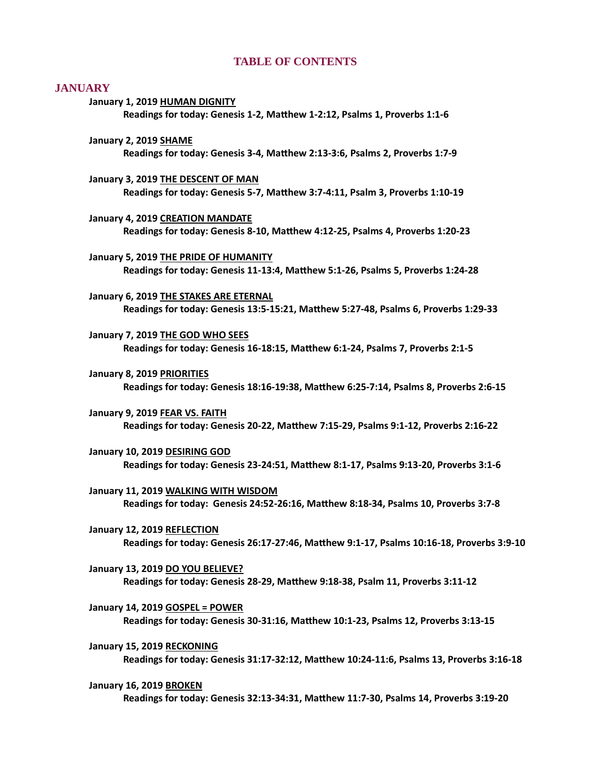#### TABLE OF CONTENTS

#### **JANUARY**

- January 1, 2019 HUMAN DIGNITY Readings for today: Genesis 1-2, Matthew 1-2:12, Psalms 1, Proverbs 1:1-6 January 2, 2019 SHAME Readings for today: Genesis 3-4, Matthew 2:13-3:6, Psalms 2, Proverbs 1:7-9 January 3, 2019 THE DESCENT OF MAN Readings for today: Genesis 5-7, Matthew 3:7-4:11, Psalm 3, Proverbs 1:10-19 January 4, 2019 CREATION MANDATE [Readings for today: Genesis 8-10, MaƩhew 4:12-25, Psalms 4, Proverbs 1:20-23](#page-6-0) January 5, 2019 THE PRIDE OF HUMANITY Readings for today: Genesis 11-13:4, Matthew 5:1-26, Psalms 5, Proverbs 1:24-28 January 6, 2019 THE STAKES ARE ETERNAL Readings for today: Genesis 13:5-15:21, Matthew 5:27-48, Psalms 6, Proverbs 1:29-33 January 7, 2019 THE GOD WHO SEES Readings for today: Genesis 16-18:15, Matthew 6:1-24, Psalms 7, Proverbs 2:1-5 January 8, 2019 PRIORITIES Readings for today: Genesis 18:16-19:38, Matthew 6:25-7:14, Psalms 8, Proverbs 2:6-15 January 9, 2019 FEAR VS. FAITH [Readings for today: Genesis 20-22, MaƩhew 7:15-29, Psalms 9:1-12, Proverbs 2:16-22](#page-11-0) January 10, 2019 DESIRING GOD Readings for today: Genesis 23-24:51, Matthew 8:1-17, Psalms 9:13-20, Proverbs 3:1-6 January 11, 2019 WALKING WITH WISDOM [Readings for today: Genesis 24:52-26:16, MaƩhew 8:18-34, Psalms 10, Proverbs 3:7-8](#page-13-0) January 12, 2019 REFLECTION [Readings for today: Genesis 26:17-27:46, MaƩhew 9:1-17, Psalms 10:16-18, Proverbs 3:9-10](#page-14-0)
	- January 13, 2019 DO YOU BELIEVE? Readings for today: Genesis 28-29, Matthew 9:18-38, Psalm 11, Proverbs 3:11-12
	- January 14, 2019 GOSPEL = POWER Readings for today: Genesis 30-31:16, Matthew 10:1-23, Psalms 12, Proverbs 3:13-15
	- January 15, 2019 RECKONING [Readings for today: Genesis 31:17-32:12, MaƩhew 10:24-11:6, Psalms 13, Proverbs 3:16-18](#page-17-0)
	- January 16, 2019 BROKEN [Readings for today: Genesis 32:13-34:31, MaƩhew 11:7-30, Psalms 14, Proverbs 3:19-20](#page-18-0)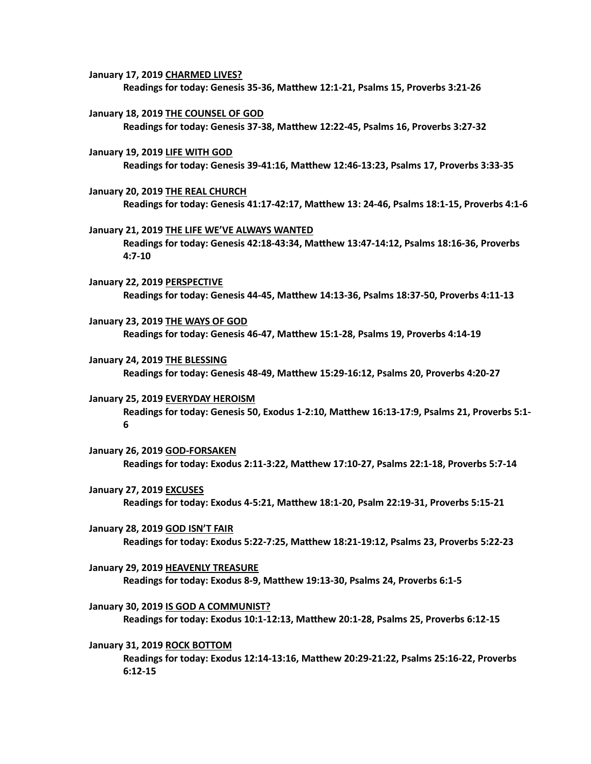- January 17, 2019 CHARMED LIVES? [Readings for today: Genesis 35-36, MaƩhew 12:1-21, Psalms 15, Proverbs 3:21-26](#page-19-0)
- January 18, 2019 THE COUNSEL OF GOD Readings for today: Genesis 37-38, Matthew 12:22-45, Psalms 16, Proverbs 3:27-32
- January 19, 2019 LIFE WITH GOD Readings for today: Genesis 39-41:16, Matthew 12:46-13:23, Psalms 17, Proverbs 3:33-35
- January 20, 2019 THE REAL CHURCH Readings for today: Genesis 41:17-42:17, Matthew 13: 24-46, Psalms 18:1-15, Proverbs 4:1-6
- January 21, 2019 THE LIFE WE'VE ALWAYS WANTED Readings for today: Genesis 42:18-43:34, Matthew 13:47-14:12, Psalms 18:16-36, Proverbs 4:7-10
- January 22, 2019 PERSPECTIVE [Readings for today: Genesis 44-45, MaƩhew 14:13-36, Psalms 18:37-50, Proverbs 4:11-13](#page-24-0)
- January 23, 2019 THE WAYS OF GOD Readings for today: Genesis 46-47, Matthew 15:1-28, Psalms 19, Proverbs 4:14-19
- January 24, 2019 THE BLESSING Readings for today: Genesis 48-49, Matthew 15:29-16:12, Psalms 20, Proverbs 4:20-27
- January 25, 2019 EVERYDAY HEROISM Readings for today: Genesis 50, Exodus 1-2:10, Matthew 16:13-17:9, Psalms 21, Proverbs 5:1-6
- January 26, 2019 GOD-FORSAKEN [Readings for today: Exodus 2:11-3:22, MaƩhew 17:10-27, Psalms 22:1-18, Proverbs 5:7-14](#page-28-0)
- January 27, 2019 EXCUSES Readings for today: Exodus 4-5:21, Matthew 18:1-20, Psalm 22:19-31, Proverbs 5:15-21
- January 28, 2019 GOD ISN'T FAIR [Readings for today: Exodus 5:22-7:25, MaƩhew 18:21-19:12, Psalms 23, Proverbs 5:22-23](#page-30-0)
- January 29, 2019 HEAVENLY TREASURE [Readings for today: Exodus 8-9, MaƩhew 19:13-30, Psalms 24, Proverbs 6:1-5](#page-32-0)
- January 30, 2019 IS GOD A COMMUNIST? Readings for today: Exodus 10:1-12:13, Matthew 20:1-28, Psalms 25, Proverbs 6:12-15
- January 31, 2019 ROCK BOTTOM Readings for today: Exodus 12:14-13:16, Matthew 20:29-21:22, Psalms 25:16-22, Proverbs 6:12-15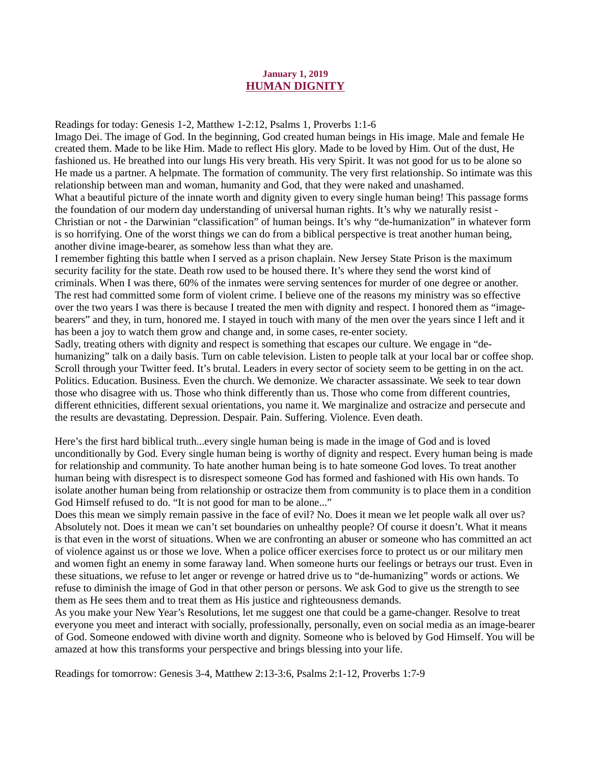#### January 1, 2019 HUMAN DIGNITY

<span id="page-3-0"></span>[Readings for today: Genesis 1-2, Matthew 1-2:12, Psalms 1, Proverbs 1:1-6](https://www.biblegateway.com/passage/?search=Genesis+1-2%2CMatthew+1%3A1-2%3A12%2CPsalm+1%2CProverbs+1%3A1-6&version=ESV)

Imago Dei. The image of God. In the beginning, God created human beings in His image. Male and female He created them. Made to be like Him. Made to reflect His glory. Made to be loved by Him. Out of the dust, He fashioned us. He breathed into our lungs His very breath. His very Spirit. It was not good for us to be alone so He made us a partner. A helpmate. The formation of community. The very first relationship. So intimate was this relationship between man and woman, humanity and God, that they were naked and unashamed. What a beautiful picture of the innate worth and dignity given to every single human being! This passage forms the foundation of our modern day understanding of universal human rights. It's why we naturally resist - Christian or not - the Darwinian "classification" of human beings. It's why "de-humanization" in whatever form is so horrifying. One of the worst things we can do from a biblical perspective is treat another human being, another divine image-bearer, as somehow less than what they are.

I remember fighting this battle when I served as a prison chaplain. New Jersey State Prison is the maximum security facility for the state. Death row used to be housed there. It's where they send the worst kind of criminals. When I was there, 60% of the inmates were serving sentences for murder of one degree or another. The rest had committed some form of violent crime. I believe one of the reasons my ministry was so effective over the two years I was there is because I treated the men with dignity and respect. I honored them as "imagebearers" and they, in turn, honored me. I stayed in touch with many of the men over the years since I left and it has been a joy to watch them grow and change and, in some cases, re-enter society.

Sadly, treating others with dignity and respect is something that escapes our culture. We engage in "dehumanizing" talk on a daily basis. Turn on cable television. Listen to people talk at your local bar or coffee shop. Scroll through your Twitter feed. It's brutal. Leaders in every sector of society seem to be getting in on the act. Politics. Education. Business. Even the church. We demonize. We character assassinate. We seek to tear down those who disagree with us. Those who think differently than us. Those who come from different countries, different ethnicities, different sexual orientations, you name it. We marginalize and ostracize and persecute and the results are devastating. Depression. Despair. Pain. Suffering. Violence. Even death.

Here's the first hard biblical truth...every single human being is made in the image of God and is loved unconditionally by God. Every single human being is worthy of dignity and respect. Every human being is made for relationship and community. To hate another human being is to hate someone God loves. To treat another human being with disrespect is to disrespect someone God has formed and fashioned with His own hands. To isolate another human being from relationship or ostracize them from community is to place them in a condition God Himself refused to do. "It is not good for man to be alone..."

Does this mean we simply remain passive in the face of evil? No. Does it mean we let people walk all over us? Absolutely not. Does it mean we can't set boundaries on unhealthy people? Of course it doesn't. What it means is that even in the worst of situations. When we are confronting an abuser or someone who has committed an act of violence against us or those we love. When a police officer exercises force to protect us or our military men and women fight an enemy in some faraway land. When someone hurts our feelings or betrays our trust. Even in these situations, we refuse to let anger or revenge or hatred drive us to "de-humanizing" words or actions. We refuse to diminish the image of God in that other person or persons. We ask God to give us the strength to see them as He sees them and to treat them as His justice and righteousness demands.

As you make your New Year's Resolutions, let me suggest one that could be a game-changer. Resolve to treat everyone you meet and interact with socially, professionally, personally, even on social media as an image-bearer of God. Someone endowed with divine worth and dignity. Someone who is beloved by God Himself. You will be amazed at how this transforms your perspective and brings blessing into your life.

Readings for tomorrow: Genesis 3-4, Matthew 2:13-3:6, Psalms 2:1-12, Proverbs 1:7-9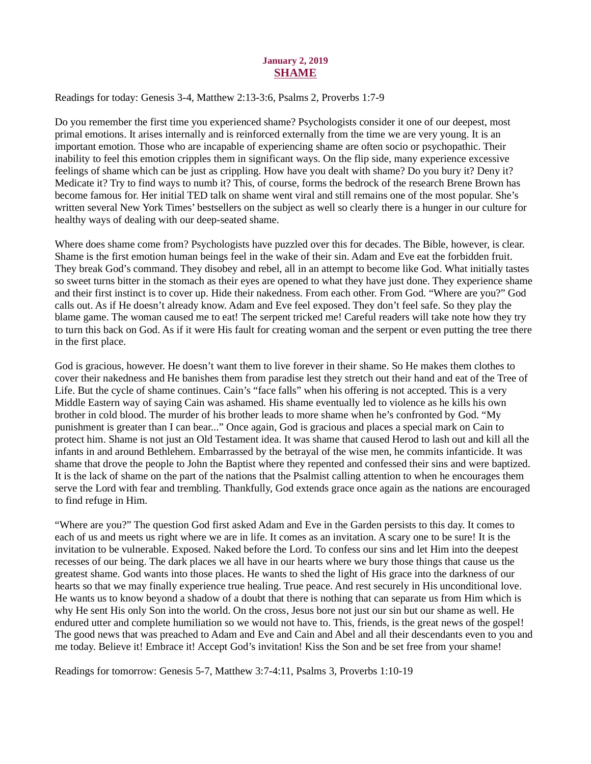#### January 2, 2019 SHAME

<span id="page-4-0"></span>Readings for today[: Genesis 3-4, Matthew 2:13-3:6, Psalms 2, Proverbs 1:7-9](https://www.biblegateway.com/passage/?search=Genesis+3-4%2C+Matthew+2%3A13-3%3A6%2C+Psalms+2%2C+Proverbs+1%3A7-9&version=ESV)

Do you remember the first time you experienced shame? Psychologists consider it one of our deepest, most primal emotions. It arises internally and is reinforced externally from the time we are very young. It is an important emotion. Those who are incapable of experiencing shame are often socio or psychopathic. Their inability to feel this emotion cripples them in significant ways. On the flip side, many experience excessive feelings of shame which can be just as crippling. How have you dealt with shame? Do you bury it? Deny it? Medicate it? Try to find ways to numb it? This, of course, forms the bedrock of the research Brene Brown has become famous for. Her initial TED talk on shame went viral and still remains one of the most popular. She's written several New York Times' bestsellers on the subject as well so clearly there is a hunger in our culture for healthy ways of dealing with our deep-seated shame.

Where does shame come from? Psychologists have puzzled over this for decades. The Bible, however, is clear. Shame is the first emotion human beings feel in the wake of their sin. Adam and Eve eat the forbidden fruit. They break God's command. They disobey and rebel, all in an attempt to become like God. What initially tastes so sweet turns bitter in the stomach as their eyes are opened to what they have just done. They experience shame and their first instinct is to cover up. Hide their nakedness. From each other. From God. "Where are you?" God calls out. As if He doesn't already know. Adam and Eve feel exposed. They don't feel safe. So they play the blame game. The woman caused me to eat! The serpent tricked me! Careful readers will take note how they try to turn this back on God. As if it were His fault for creating woman and the serpent or even putting the tree there in the first place.

God is gracious, however. He doesn't want them to live forever in their shame. So He makes them clothes to cover their nakedness and He banishes them from paradise lest they stretch out their hand and eat of the Tree of Life. But the cycle of shame continues. Cain's "face falls" when his offering is not accepted. This is a very Middle Eastern way of saying Cain was ashamed. His shame eventually led to violence as he kills his own brother in cold blood. The murder of his brother leads to more shame when he's confronted by God. "My punishment is greater than I can bear..." Once again, God is gracious and places a special mark on Cain to protect him. Shame is not just an Old Testament idea. It was shame that caused Herod to lash out and kill all the infants in and around Bethlehem. Embarrassed by the betrayal of the wise men, he commits infanticide. It was shame that drove the people to John the Baptist where they repented and confessed their sins and were baptized. It is the lack of shame on the part of the nations that the Psalmist calling attention to when he encourages them serve the Lord with fear and trembling. Thankfully, God extends grace once again as the nations are encouraged to find refuge in Him.

"Where are you?" The question God first asked Adam and Eve in the Garden persists to this day. It comes to each of us and meets us right where we are in life. It comes as an invitation. A scary one to be sure! It is the invitation to be vulnerable. Exposed. Naked before the Lord. To confess our sins and let Him into the deepest recesses of our being. The dark places we all have in our hearts where we bury those things that cause us the greatest shame. God wants into those places. He wants to shed the light of His grace into the darkness of our hearts so that we may finally experience true healing. True peace. And rest securely in His unconditional love. He wants us to know beyond a shadow of a doubt that there is nothing that can separate us from Him which is why He sent His only Son into the world. On the cross, Jesus bore not just our sin but our shame as well. He endured utter and complete humiliation so we would not have to. This, friends, is the great news of the gospel! The good news that was preached to Adam and Eve and Cain and Abel and all their descendants even to you and me today. Believe it! Embrace it! Accept God's invitation! Kiss the Son and be set free from your shame!

Readings for tomorrow: Genesis 5-7, Matthew 3:7-4:11, Psalms 3, Proverbs 1:10-19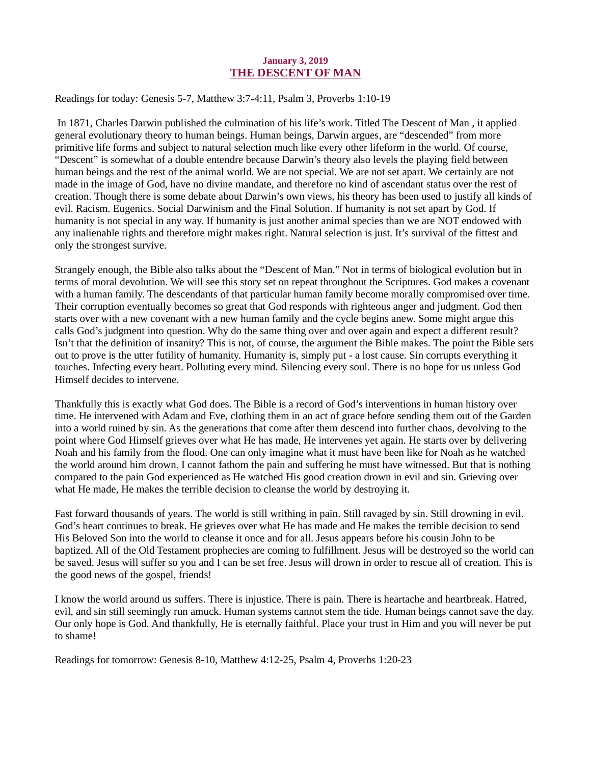#### January 3, 2019 THE DESCENT OF MAN

#### <span id="page-5-0"></span>Readings for today: [Genesis 5-7, Matthew 3:7-4:11, Psalm 3, Proverbs 1:10-19](https://www.biblegateway.com/passage/?search=Genesis+5-7%2C+Matthew+3%3A7-4%3A11%2C+Psalm+3%2C+Proverbs+1%3A10-19&version=ESV)

 In 1871, Charles Darwin published the culmination of his life's work. Titled The Descent of Man , it applied general evolutionary theory to human beings. Human beings, Darwin argues, are "descended" from more primitive life forms and subject to natural selection much like every other lifeform in the world. Of course, "Descent" is somewhat of a double entendre because Darwin's theory also levels the playing field between human beings and the rest of the animal world. We are not special. We are not set apart. We certainly are not made in the image of God, have no divine mandate, and therefore no kind of ascendant status over the rest of creation. Though there is some debate about Darwin's own views, his theory has been used to justify all kinds of evil. Racism. Eugenics. Social Darwinism and the Final Solution. If humanity is not set apart by God. If humanity is not special in any way. If humanity is just another animal species than we are NOT endowed with any inalienable rights and therefore might makes right. Natural selection is just. It's survival of the fittest and only the strongest survive.

Strangely enough, the Bible also talks about the "Descent of Man." Not in terms of biological evolution but in terms of moral devolution. We will see this story set on repeat throughout the Scriptures. God makes a covenant with a human family. The descendants of that particular human family become morally compromised over time. Their corruption eventually becomes so great that God responds with righteous anger and judgment. God then starts over with a new covenant with a new human family and the cycle begins anew. Some might argue this calls God's judgment into question. Why do the same thing over and over again and expect a different result? Isn't that the definition of insanity? This is not, of course, the argument the Bible makes. The point the Bible sets out to prove is the utter futility of humanity. Humanity is, simply put - a lost cause. Sin corrupts everything it touches. Infecting every heart. Polluting every mind. Silencing every soul. There is no hope for us unless God Himself decides to intervene.

Thankfully this is exactly what God does. The Bible is a record of God's interventions in human history over time. He intervened with Adam and Eve, clothing them in an act of grace before sending them out of the Garden into a world ruined by sin. As the generations that come after them descend into further chaos, devolving to the point where God Himself grieves over what He has made, He intervenes yet again. He starts over by delivering Noah and his family from the flood. One can only imagine what it must have been like for Noah as he watched the world around him drown. I cannot fathom the pain and suffering he must have witnessed. But that is nothing compared to the pain God experienced as He watched His good creation drown in evil and sin. Grieving over what He made, He makes the terrible decision to cleanse the world by destroying it.

Fast forward thousands of years. The world is still writhing in pain. Still ravaged by sin. Still drowning in evil. God's heart continues to break. He grieves over what He has made and He makes the terrible decision to send His Beloved Son into the world to cleanse it once and for all. Jesus appears before his cousin John to be baptized. All of the Old Testament prophecies are coming to fulfillment. Jesus will be destroyed so the world can be saved. Jesus will suffer so you and I can be set free. Jesus will drown in order to rescue all of creation. This is the good news of the gospel, friends!

I know the world around us suffers. There is injustice. There is pain. There is heartache and heartbreak. Hatred, evil, and sin still seemingly run amuck. Human systems cannot stem the tide. Human beings cannot save the day. Our only hope is God. And thankfully, He is eternally faithful. Place your trust in Him and you will never be put to shame!

Readings for tomorrow: Genesis 8-10, Matthew 4:12-25, Psalm 4, Proverbs 1:20-23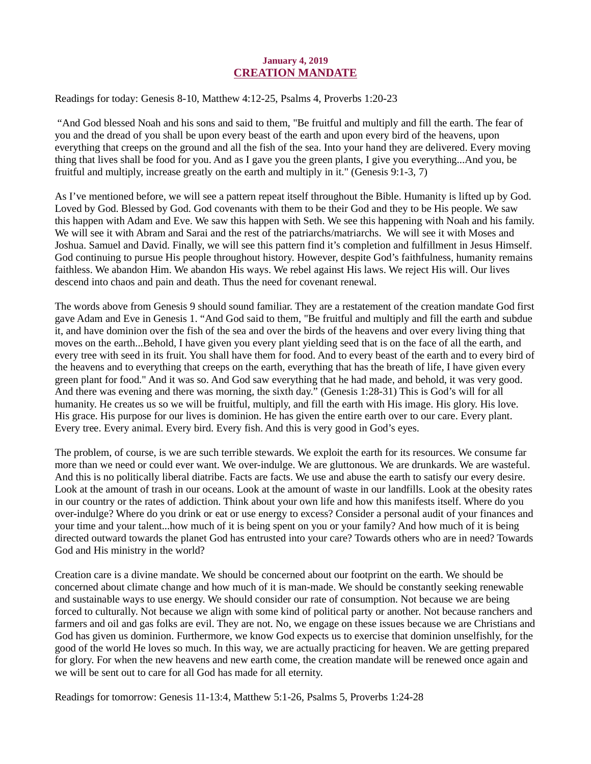#### January 4, 2019 CREATION MANDATE

<span id="page-6-0"></span>Readings for today: [Genesis 8-10, Matthew 4:12-25, Psalms 4, Proverbs 1:20-23](https://www.biblegateway.com/passage/?search=Genesis+8-10%2CMatthew+4%3A12-25%2CPsalm+4%2CProverbs+1%3A20-23&version=ESV)

 "And God blessed Noah and his sons and said to them, "Be fruitful and multiply and fill the earth. The fear of you and the dread of you shall be upon every beast of the earth and upon every bird of the heavens, upon everything that creeps on the ground and all the fish of the sea. Into your hand they are delivered. Every moving thing that lives shall be food for you. And as I gave you the green plants, I give you everything...And you, be fruitful and multiply, increase greatly on the earth and multiply in it." (Genesis 9:1-3, 7)

As I've mentioned before, we will see a pattern repeat itself throughout the Bible. Humanity is lifted up by God. Loved by God. Blessed by God. God covenants with them to be their God and they to be His people. We saw this happen with Adam and Eve. We saw this happen with Seth. We see this happening with Noah and his family. We will see it with Abram and Sarai and the rest of the patriarchs/matriarchs. We will see it with Moses and Joshua. Samuel and David. Finally, we will see this pattern find it's completion and fulfillment in Jesus Himself. God continuing to pursue His people throughout history. However, despite God's faithfulness, humanity remains faithless. We abandon Him. We abandon His ways. We rebel against His laws. We reject His will. Our lives descend into chaos and pain and death. Thus the need for covenant renewal.

The words above from Genesis 9 should sound familiar. They are a restatement of the creation mandate God first gave Adam and Eve in Genesis 1. "And God said to them, "Be fruitful and multiply and fill the earth and subdue it, and have dominion over the fish of the sea and over the birds of the heavens and over every living thing that moves on the earth...Behold, I have given you every plant yielding seed that is on the face of all the earth, and every tree with seed in its fruit. You shall have them for food. And to every beast of the earth and to every bird of the heavens and to everything that creeps on the earth, everything that has the breath of life, I have given every green plant for food." And it was so. And God saw everything that he had made, and behold, it was very good. And there was evening and there was morning, the sixth day." (Genesis 1:28-31) This is God's will for all humanity. He creates us so we will be fruitful, multiply, and fill the earth with His image. His glory. His love. His grace. His purpose for our lives is dominion. He has given the entire earth over to our care. Every plant. Every tree. Every animal. Every bird. Every fish. And this is very good in God's eyes.

The problem, of course, is we are such terrible stewards. We exploit the earth for its resources. We consume far more than we need or could ever want. We over-indulge. We are gluttonous. We are drunkards. We are wasteful. And this is no politically liberal diatribe. Facts are facts. We use and abuse the earth to satisfy our every desire. Look at the amount of trash in our oceans. Look at the amount of waste in our landfills. Look at the obesity rates in our country or the rates of addiction. Think about your own life and how this manifests itself. Where do you over-indulge? Where do you drink or eat or use energy to excess? Consider a personal audit of your finances and your time and your talent...how much of it is being spent on you or your family? And how much of it is being directed outward towards the planet God has entrusted into your care? Towards others who are in need? Towards God and His ministry in the world?

Creation care is a divine mandate. We should be concerned about our footprint on the earth. We should be concerned about climate change and how much of it is man-made. We should be constantly seeking renewable and sustainable ways to use energy. We should consider our rate of consumption. Not because we are being forced to culturally. Not because we align with some kind of political party or another. Not because ranchers and farmers and oil and gas folks are evil. They are not. No, we engage on these issues because we are Christians and God has given us dominion. Furthermore, we know God expects us to exercise that dominion unselfishly, for the good of the world He loves so much. In this way, we are actually practicing for heaven. We are getting prepared for glory. For when the new heavens and new earth come, the creation mandate will be renewed once again and we will be sent out to care for all God has made for all eternity.

Readings for tomorrow: Genesis 11-13:4, Matthew 5:1-26, Psalms 5, Proverbs 1:24-28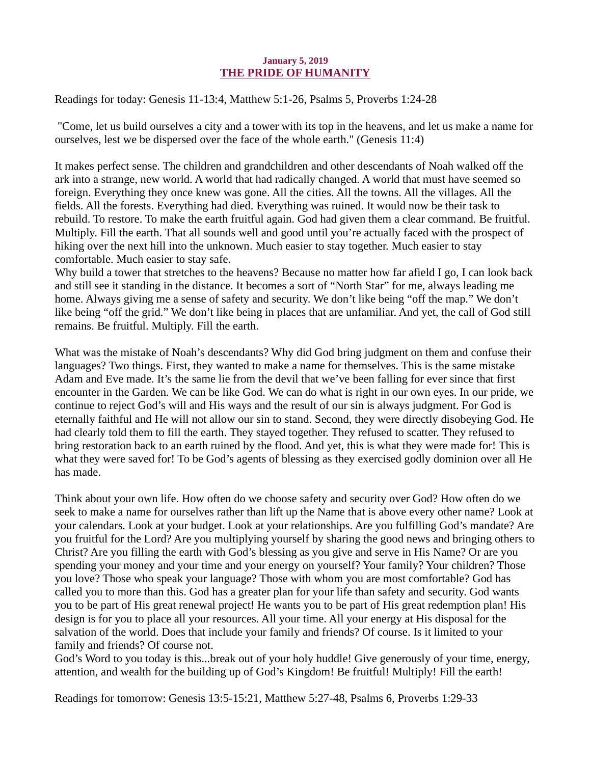#### January 5, 2019 THE PRIDE OF HUMANITY

<span id="page-7-0"></span>Readings for today: [Genesis 11-13:4, Matthew 5:1-26, Psalms 5, Proverbs 1:24-28](https://www.biblegateway.com/passage/?search=Genesis+11-13%3A4%2C+Matthew+5%3A1-26%2C+Psalms+5%2C+Proverbs+1%3A24-28&version=ESV)

 "Come, let us build ourselves a city and a tower with its top in the heavens, and let us make a name for ourselves, lest we be dispersed over the face of the whole earth." (Genesis 11:4)

It makes perfect sense. The children and grandchildren and other descendants of Noah walked off the ark into a strange, new world. A world that had radically changed. A world that must have seemed so foreign. Everything they once knew was gone. All the cities. All the towns. All the villages. All the fields. All the forests. Everything had died. Everything was ruined. It would now be their task to rebuild. To restore. To make the earth fruitful again. God had given them a clear command. Be fruitful. Multiply. Fill the earth. That all sounds well and good until you're actually faced with the prospect of hiking over the next hill into the unknown. Much easier to stay together. Much easier to stay comfortable. Much easier to stay safe.

Why build a tower that stretches to the heavens? Because no matter how far afield I go, I can look back and still see it standing in the distance. It becomes a sort of "North Star" for me, always leading me home. Always giving me a sense of safety and security. We don't like being "off the map." We don't like being "off the grid." We don't like being in places that are unfamiliar. And yet, the call of God still remains. Be fruitful. Multiply. Fill the earth.

What was the mistake of Noah's descendants? Why did God bring judgment on them and confuse their languages? Two things. First, they wanted to make a name for themselves. This is the same mistake Adam and Eve made. It's the same lie from the devil that we've been falling for ever since that first encounter in the Garden. We can be like God. We can do what is right in our own eyes. In our pride, we continue to reject God's will and His ways and the result of our sin is always judgment. For God is eternally faithful and He will not allow our sin to stand. Second, they were directly disobeying God. He had clearly told them to fill the earth. They stayed together. They refused to scatter. They refused to bring restoration back to an earth ruined by the flood. And yet, this is what they were made for! This is what they were saved for! To be God's agents of blessing as they exercised godly dominion over all He has made.

Think about your own life. How often do we choose safety and security over God? How often do we seek to make a name for ourselves rather than lift up the Name that is above every other name? Look at your calendars. Look at your budget. Look at your relationships. Are you fulfilling God's mandate? Are you fruitful for the Lord? Are you multiplying yourself by sharing the good news and bringing others to Christ? Are you filling the earth with God's blessing as you give and serve in His Name? Or are you spending your money and your time and your energy on yourself? Your family? Your children? Those you love? Those who speak your language? Those with whom you are most comfortable? God has called you to more than this. God has a greater plan for your life than safety and security. God wants you to be part of His great renewal project! He wants you to be part of His great redemption plan! His design is for you to place all your resources. All your time. All your energy at His disposal for the salvation of the world. Does that include your family and friends? Of course. Is it limited to your family and friends? Of course not.

God's Word to you today is this...break out of your holy huddle! Give generously of your time, energy, attention, and wealth for the building up of God's Kingdom! Be fruitful! Multiply! Fill the earth!

Readings for tomorrow: Genesis 13:5-15:21, Matthew 5:27-48, Psalms 6, Proverbs 1:29-33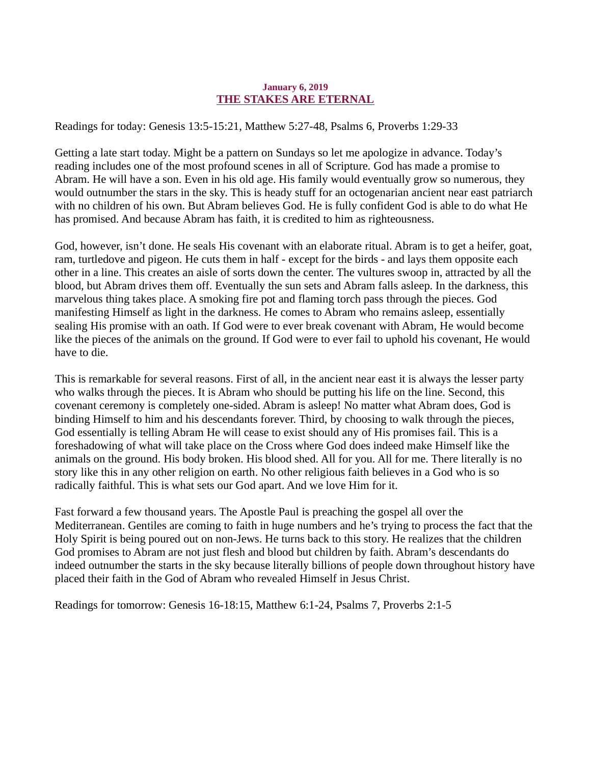#### January 6, 2019 THE STAKES ARE ETERNAL

<span id="page-8-0"></span>Readings for today: [Genesis 13:5-15:21, Matthew 5:27-48, Psalms 6, Proverbs 1:29-33](https://www.biblegateway.com/passage/?search=Genesis+13%3A5-15%3A21%2CMatthew+5%3A27-48%2CPsalm+6%2CProverbs+1%3A29-33&version=ESV)

Getting a late start today. Might be a pattern on Sundays so let me apologize in advance. Today's reading includes one of the most profound scenes in all of Scripture. God has made a promise to Abram. He will have a son. Even in his old age. His family would eventually grow so numerous, they would outnumber the stars in the sky. This is heady stuff for an octogenarian ancient near east patriarch with no children of his own. But Abram believes God. He is fully confident God is able to do what He has promised. And because Abram has faith, it is credited to him as righteousness.

God, however, isn't done. He seals His covenant with an elaborate ritual. Abram is to get a heifer, goat, ram, turtledove and pigeon. He cuts them in half - except for the birds - and lays them opposite each other in a line. This creates an aisle of sorts down the center. The vultures swoop in, attracted by all the blood, but Abram drives them off. Eventually the sun sets and Abram falls asleep. In the darkness, this marvelous thing takes place. A smoking fire pot and flaming torch pass through the pieces. God manifesting Himself as light in the darkness. He comes to Abram who remains asleep, essentially sealing His promise with an oath. If God were to ever break covenant with Abram, He would become like the pieces of the animals on the ground. If God were to ever fail to uphold his covenant, He would have to die.

This is remarkable for several reasons. First of all, in the ancient near east it is always the lesser party who walks through the pieces. It is Abram who should be putting his life on the line. Second, this covenant ceremony is completely one-sided. Abram is asleep! No matter what Abram does, God is binding Himself to him and his descendants forever. Third, by choosing to walk through the pieces, God essentially is telling Abram He will cease to exist should any of His promises fail. This is a foreshadowing of what will take place on the Cross where God does indeed make Himself like the animals on the ground. His body broken. His blood shed. All for you. All for me. There literally is no story like this in any other religion on earth. No other religious faith believes in a God who is so radically faithful. This is what sets our God apart. And we love Him for it.

Fast forward a few thousand years. The Apostle Paul is preaching the gospel all over the Mediterranean. Gentiles are coming to faith in huge numbers and he's trying to process the fact that the Holy Spirit is being poured out on non-Jews. He turns back to this story. He realizes that the children God promises to Abram are not just flesh and blood but children by faith. Abram's descendants do indeed outnumber the starts in the sky because literally billions of people down throughout history have placed their faith in the God of Abram who revealed Himself in Jesus Christ.

Readings for tomorrow: Genesis 16-18:15, Matthew 6:1-24, Psalms 7, Proverbs 2:1-5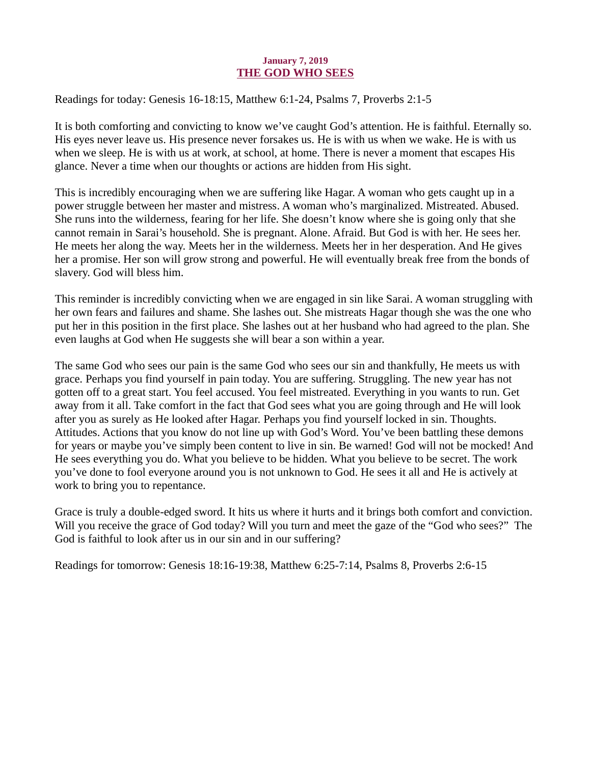#### January 7, 2019 THE GOD WHO SEES

<span id="page-9-0"></span>Readings for today: [Genesis 16-18:15, Matthew 6:1-24, Psalms 7, Proverbs 2:1-5](https://www.biblegateway.com/passage/?search=Genesis+16-18%3A15%2C+Matthew+6%3A1-24%2C+Psalms+7%2C+Proverbs+2%3A1-5&version=ESV)

It is both comforting and convicting to know we've caught God's attention. He is faithful. Eternally so. His eyes never leave us. His presence never forsakes us. He is with us when we wake. He is with us when we sleep. He is with us at work, at school, at home. There is never a moment that escapes His glance. Never a time when our thoughts or actions are hidden from His sight.

This is incredibly encouraging when we are suffering like Hagar. A woman who gets caught up in a power struggle between her master and mistress. A woman who's marginalized. Mistreated. Abused. She runs into the wilderness, fearing for her life. She doesn't know where she is going only that she cannot remain in Sarai's household. She is pregnant. Alone. Afraid. But God is with her. He sees her. He meets her along the way. Meets her in the wilderness. Meets her in her desperation. And He gives her a promise. Her son will grow strong and powerful. He will eventually break free from the bonds of slavery. God will bless him.

This reminder is incredibly convicting when we are engaged in sin like Sarai. A woman struggling with her own fears and failures and shame. She lashes out. She mistreats Hagar though she was the one who put her in this position in the first place. She lashes out at her husband who had agreed to the plan. She even laughs at God when He suggests she will bear a son within a year.

The same God who sees our pain is the same God who sees our sin and thankfully, He meets us with grace. Perhaps you find yourself in pain today. You are suffering. Struggling. The new year has not gotten off to a great start. You feel accused. You feel mistreated. Everything in you wants to run. Get away from it all. Take comfort in the fact that God sees what you are going through and He will look after you as surely as He looked after Hagar. Perhaps you find yourself locked in sin. Thoughts. Attitudes. Actions that you know do not line up with God's Word. You've been battling these demons for years or maybe you've simply been content to live in sin. Be warned! God will not be mocked! And He sees everything you do. What you believe to be hidden. What you believe to be secret. The work you've done to fool everyone around you is not unknown to God. He sees it all and He is actively at work to bring you to repentance.

Grace is truly a double-edged sword. It hits us where it hurts and it brings both comfort and conviction. Will you receive the grace of God today? Will you turn and meet the gaze of the "God who sees?" The God is faithful to look after us in our sin and in our suffering?

Readings for tomorrow: Genesis 18:16-19:38, Matthew 6:25-7:14, Psalms 8, Proverbs 2:6-15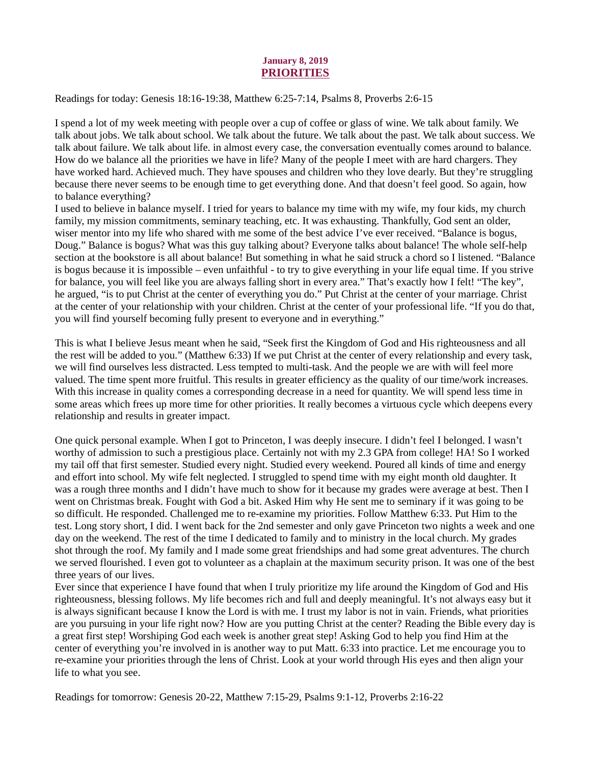#### January 8, 2019 PRIORITIES

<span id="page-10-0"></span>Readings for today: [Genesis 18:16-19:38, Matthew 6:25-7:14, Psalms 8, Proverbs 2:6-15](https://www.biblegateway.com/passage/?search=Genesis+18%3A16-19%3A38%2C+Matthew+6%3A25-7%3A14%2C+Psalms+8%2C+Proverbs+2%3A6-15&version=ESV)

I spend a lot of my week meeting with people over a cup of coffee or glass of wine. We talk about family. We talk about jobs. We talk about school. We talk about the future. We talk about the past. We talk about success. We talk about failure. We talk about life. in almost every case, the conversation eventually comes around to balance. How do we balance all the priorities we have in life? Many of the people I meet with are hard chargers. They have worked hard. Achieved much. They have spouses and children who they love dearly. But they're struggling because there never seems to be enough time to get everything done. And that doesn't feel good. So again, how to balance everything?

I used to believe in balance myself. I tried for years to balance my time with my wife, my four kids, my church family, my mission commitments, seminary teaching, etc. It was exhausting. Thankfully, God sent an older, wiser mentor into my life who shared with me some of the best advice I've ever received. "Balance is bogus, Doug." Balance is bogus? What was this guy talking about? Everyone talks about balance! The whole self-help section at the bookstore is all about balance! But something in what he said struck a chord so I listened. "Balance is bogus because it is impossible – even unfaithful - to try to give everything in your life equal time. If you strive for balance, you will feel like you are always falling short in every area." That's exactly how I felt! "The key", he argued, "is to put Christ at the center of everything you do." Put Christ at the center of your marriage. Christ at the center of your relationship with your children. Christ at the center of your professional life. "If you do that, you will find yourself becoming fully present to everyone and in everything."

This is what I believe Jesus meant when he said, "Seek first the Kingdom of God and His righteousness and all the rest will be added to you." (Matthew 6:33) If we put Christ at the center of every relationship and every task, we will find ourselves less distracted. Less tempted to multi-task. And the people we are with will feel more valued. The time spent more fruitful. This results in greater efficiency as the quality of our time/work increases. With this increase in quality comes a corresponding decrease in a need for quantity. We will spend less time in some areas which frees up more time for other priorities. It really becomes a virtuous cycle which deepens every relationship and results in greater impact.

One quick personal example. When I got to Princeton, I was deeply insecure. I didn't feel I belonged. I wasn't worthy of admission to such a prestigious place. Certainly not with my 2.3 GPA from college! HA! So I worked my tail off that first semester. Studied every night. Studied every weekend. Poured all kinds of time and energy and effort into school. My wife felt neglected. I struggled to spend time with my eight month old daughter. It was a rough three months and I didn't have much to show for it because my grades were average at best. Then I went on Christmas break. Fought with God a bit. Asked Him why He sent me to seminary if it was going to be so difficult. He responded. Challenged me to re-examine my priorities. Follow Matthew 6:33. Put Him to the test. Long story short, I did. I went back for the 2nd semester and only gave Princeton two nights a week and one day on the weekend. The rest of the time I dedicated to family and to ministry in the local church. My grades shot through the roof. My family and I made some great friendships and had some great adventures. The church we served flourished. I even got to volunteer as a chaplain at the maximum security prison. It was one of the best three years of our lives.

Ever since that experience I have found that when I truly prioritize my life around the Kingdom of God and His righteousness, blessing follows. My life becomes rich and full and deeply meaningful. It's not always easy but it is always significant because I know the Lord is with me. I trust my labor is not in vain. Friends, what priorities are you pursuing in your life right now? How are you putting Christ at the center? Reading the Bible every day is a great first step! Worshiping God each week is another great step! Asking God to help you find Him at the center of everything you're involved in is another way to put Matt. 6:33 into practice. Let me encourage you to re-examine your priorities through the lens of Christ. Look at your world through His eyes and then align your life to what you see.

Readings for tomorrow: Genesis 20-22, Matthew 7:15-29, Psalms 9:1-12, Proverbs 2:16-22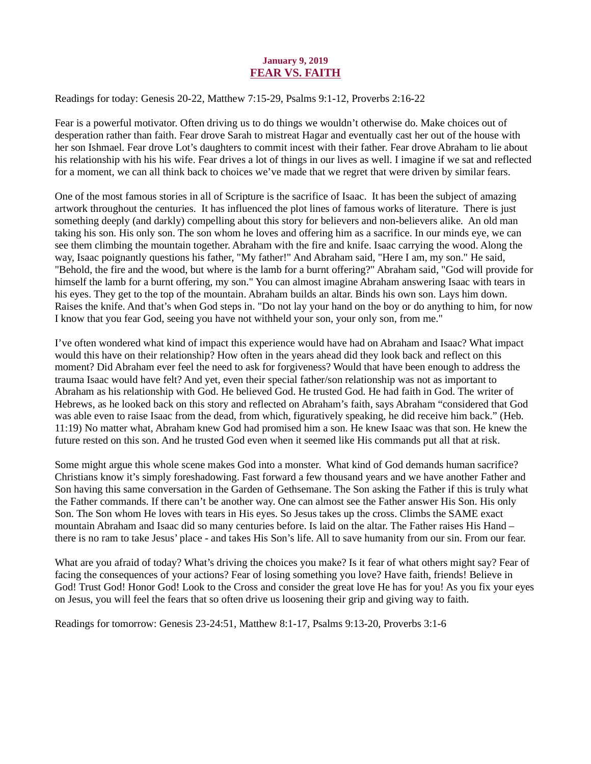#### January 9, 2019 FEAR VS. FAITH

<span id="page-11-0"></span>Readings for today[: Genesis 20-22, Matthew 7:15-29, Psalms 9:1-12, Proverbs 2:16-22](https://www.biblegateway.com/passage/?search=Genesis+20-22%2C+Matthew+7%3A15-29%2C+Psalms+9%3A1-12%2C+Proverbs+2%3A16-22&version=ESV)

Fear is a powerful motivator. Often driving us to do things we wouldn't otherwise do. Make choices out of desperation rather than faith. Fear drove Sarah to mistreat Hagar and eventually cast her out of the house with her son Ishmael. Fear drove Lot's daughters to commit incest with their father. Fear drove Abraham to lie about his relationship with his his wife. Fear drives a lot of things in our lives as well. I imagine if we sat and reflected for a moment, we can all think back to choices we've made that we regret that were driven by similar fears.

One of the most famous stories in all of Scripture is the sacrifice of Isaac. It has been the subject of amazing artwork throughout the centuries. It has influenced the plot lines of famous works of literature. There is just something deeply (and darkly) compelling about this story for believers and non-believers alike. An old man taking his son. His only son. The son whom he loves and offering him as a sacrifice. In our minds eye, we can see them climbing the mountain together. Abraham with the fire and knife. Isaac carrying the wood. Along the way, Isaac poignantly questions his father, "My father!" And Abraham said, "Here I am, my son." He said, "Behold, the fire and the wood, but where is the lamb for a burnt offering?" Abraham said, "God will provide for himself the lamb for a burnt offering, my son." You can almost imagine Abraham answering Isaac with tears in his eyes. They get to the top of the mountain. Abraham builds an altar. Binds his own son. Lays him down. Raises the knife. And that's when God steps in. "Do not lay your hand on the boy or do anything to him, for now I know that you fear God, seeing you have not withheld your son, your only son, from me."

I've often wondered what kind of impact this experience would have had on Abraham and Isaac? What impact would this have on their relationship? How often in the years ahead did they look back and reflect on this moment? Did Abraham ever feel the need to ask for forgiveness? Would that have been enough to address the trauma Isaac would have felt? And yet, even their special father/son relationship was not as important to Abraham as his relationship with God. He believed God. He trusted God. He had faith in God. The writer of Hebrews, as he looked back on this story and reflected on Abraham's faith, says Abraham "considered that God was able even to raise Isaac from the dead, from which, figuratively speaking, he did receive him back." (Heb. 11:19) No matter what, Abraham knew God had promised him a son. He knew Isaac was that son. He knew the future rested on this son. And he trusted God even when it seemed like His commands put all that at risk.

Some might argue this whole scene makes God into a monster. What kind of God demands human sacrifice? Christians know it's simply foreshadowing. Fast forward a few thousand years and we have another Father and Son having this same conversation in the Garden of Gethsemane. The Son asking the Father if this is truly what the Father commands. If there can't be another way. One can almost see the Father answer His Son. His only Son. The Son whom He loves with tears in His eyes. So Jesus takes up the cross. Climbs the SAME exact mountain Abraham and Isaac did so many centuries before. Is laid on the altar. The Father raises His Hand – there is no ram to take Jesus' place - and takes His Son's life. All to save humanity from our sin. From our fear.

What are you afraid of today? What's driving the choices you make? Is it fear of what others might say? Fear of facing the consequences of your actions? Fear of losing something you love? Have faith, friends! Believe in God! Trust God! Honor God! Look to the Cross and consider the great love He has for you! As you fix your eyes on Jesus, you will feel the fears that so often drive us loosening their grip and giving way to faith.

Readings for tomorrow: Genesis 23-24:51, Matthew 8:1-17, Psalms 9:13-20, Proverbs 3:1-6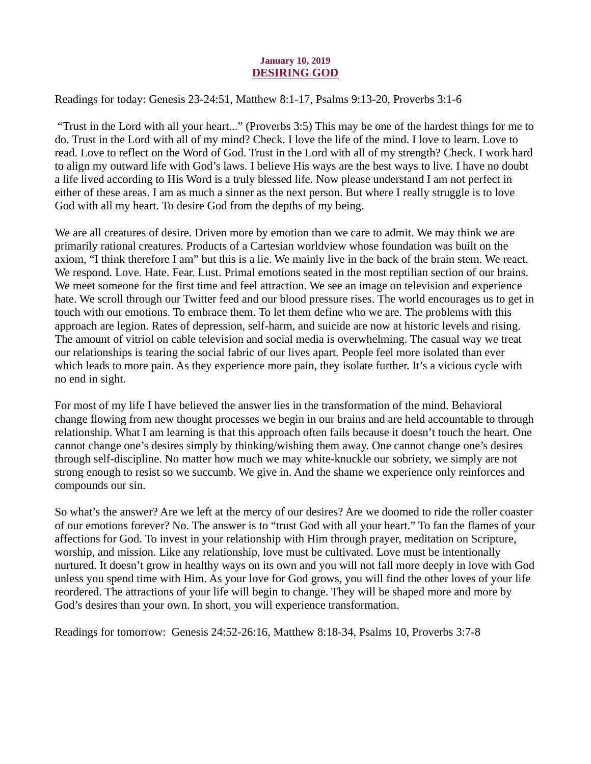#### January 10, 2019 DESIRING GOD

<span id="page-12-0"></span>Readings for today: [Genesis 23-24:51, Matthew 8:1-17, Psalms 9:13-20, Proverbs 3:1-6](https://www.biblegateway.com/passage/?search=Genesis+23-24%3A51%2C+Matthew+8%3A1-17%2C+Psalms+9%3A13-20%2C+Proverbs+3%3A1-6&version=ESV)

 "Trust in the Lord with all your heart..." (Proverbs 3:5) This may be one of the hardest things for me to do. Trust in the Lord with all of my mind? Check. I love the life of the mind. I love to learn. Love to read. Love to reflect on the Word of God. Trust in the Lord with all of my strength? Check. I work hard to align my outward life with God's laws. I believe His ways are the best ways to live. I have no doubt a life lived according to His Word is a truly blessed life. Now please understand I am not perfect in either of these areas. I am as much a sinner as the next person. But where I really struggle is to love God with all my heart. To desire God from the depths of my being.

We are all creatures of desire. Driven more by emotion than we care to admit. We may think we are primarily rational creatures. Products of a Cartesian worldview whose foundation was built on the axiom, "I think therefore I am" but this is a lie. We mainly live in the back of the brain stem. We react. We respond. Love. Hate. Fear. Lust. Primal emotions seated in the most reptilian section of our brains. We meet someone for the first time and feel attraction. We see an image on television and experience hate. We scroll through our Twitter feed and our blood pressure rises. The world encourages us to get in touch with our emotions. To embrace them. To let them define who we are. The problems with this approach are legion. Rates of depression, self-harm, and suicide are now at historic levels and rising. The amount of vitriol on cable television and social media is overwhelming. The casual way we treat our relationships is tearing the social fabric of our lives apart. People feel more isolated than ever which leads to more pain. As they experience more pain, they isolate further. It's a vicious cycle with no end in sight.

For most of my life I have believed the answer lies in the transformation of the mind. Behavioral change flowing from new thought processes we begin in our brains and are held accountable to through relationship. What I am learning is that this approach often fails because it doesn't touch the heart. One cannot change one's desires simply by thinking/wishing them away. One cannot change one's desires through self-discipline. No matter how much we may white-knuckle our sobriety, we simply are not strong enough to resist so we succumb. We give in. And the shame we experience only reinforces and compounds our sin.

So what's the answer? Are we left at the mercy of our desires? Are we doomed to ride the roller coaster of our emotions forever? No. The answer is to "trust God with all your heart." To fan the flames of your affections for God. To invest in your relationship with Him through prayer, meditation on Scripture, worship, and mission. Like any relationship, love must be cultivated. Love must be intentionally nurtured. It doesn't grow in healthy ways on its own and you will not fall more deeply in love with God unless you spend time with Him. As your love for God grows, you will find the other loves of your life reordered. The attractions of your life will begin to change. They will be shaped more and more by God's desires than your own. In short, you will experience transformation.

Readings for tomorrow: Genesis 24:52-26:16, Matthew 8:18-34, Psalms 10, Proverbs 3:7-8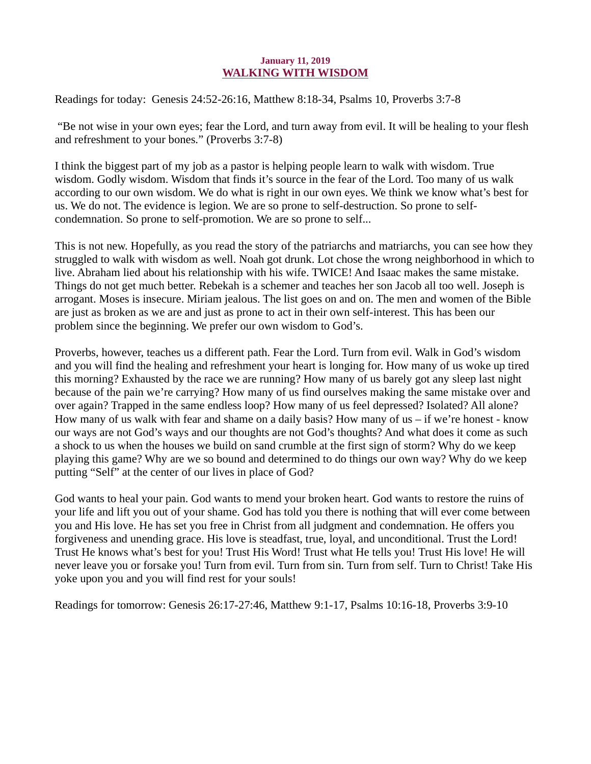#### January 11, 2019 WALKING WITH WISDOM

<span id="page-13-0"></span>[Readings for today: Genesis 24:52-26:16, Matthew 8:18-34, Psalms 10, Proverbs 3:7-8](https://www.biblegateway.com/passage/?search=Genesis+24%3A52-26%3A16%2C+Matthew+8%3A18-34%2C+Psalms+10%2C+Proverbs+3%3A7-8&version=ESV)

 "Be not wise in your own eyes; fear the Lord, and turn away from evil. It will be healing to your flesh and refreshment to your bones." (Proverbs 3:7-8)

I think the biggest part of my job as a pastor is helping people learn to walk with wisdom. True wisdom. Godly wisdom. Wisdom that finds it's source in the fear of the Lord. Too many of us walk according to our own wisdom. We do what is right in our own eyes. We think we know what's best for us. We do not. The evidence is legion. We are so prone to self-destruction. So prone to selfcondemnation. So prone to self-promotion. We are so prone to self...

This is not new. Hopefully, as you read the story of the patriarchs and matriarchs, you can see how they struggled to walk with wisdom as well. Noah got drunk. Lot chose the wrong neighborhood in which to live. Abraham lied about his relationship with his wife. TWICE! And Isaac makes the same mistake. Things do not get much better. Rebekah is a schemer and teaches her son Jacob all too well. Joseph is arrogant. Moses is insecure. Miriam jealous. The list goes on and on. The men and women of the Bible are just as broken as we are and just as prone to act in their own self-interest. This has been our problem since the beginning. We prefer our own wisdom to God's.

Proverbs, however, teaches us a different path. Fear the Lord. Turn from evil. Walk in God's wisdom and you will find the healing and refreshment your heart is longing for. How many of us woke up tired this morning? Exhausted by the race we are running? How many of us barely got any sleep last night because of the pain we're carrying? How many of us find ourselves making the same mistake over and over again? Trapped in the same endless loop? How many of us feel depressed? Isolated? All alone? How many of us walk with fear and shame on a daily basis? How many of us  $-$  if we're honest - know our ways are not God's ways and our thoughts are not God's thoughts? And what does it come as such a shock to us when the houses we build on sand crumble at the first sign of storm? Why do we keep playing this game? Why are we so bound and determined to do things our own way? Why do we keep putting "Self" at the center of our lives in place of God?

God wants to heal your pain. God wants to mend your broken heart. God wants to restore the ruins of your life and lift you out of your shame. God has told you there is nothing that will ever come between you and His love. He has set you free in Christ from all judgment and condemnation. He offers you forgiveness and unending grace. His love is steadfast, true, loyal, and unconditional. Trust the Lord! Trust He knows what's best for you! Trust His Word! Trust what He tells you! Trust His love! He will never leave you or forsake you! Turn from evil. Turn from sin. Turn from self. Turn to Christ! Take His yoke upon you and you will find rest for your souls!

Readings for tomorrow: Genesis 26:17-27:46, Matthew 9:1-17, Psalms 10:16-18, Proverbs 3:9-10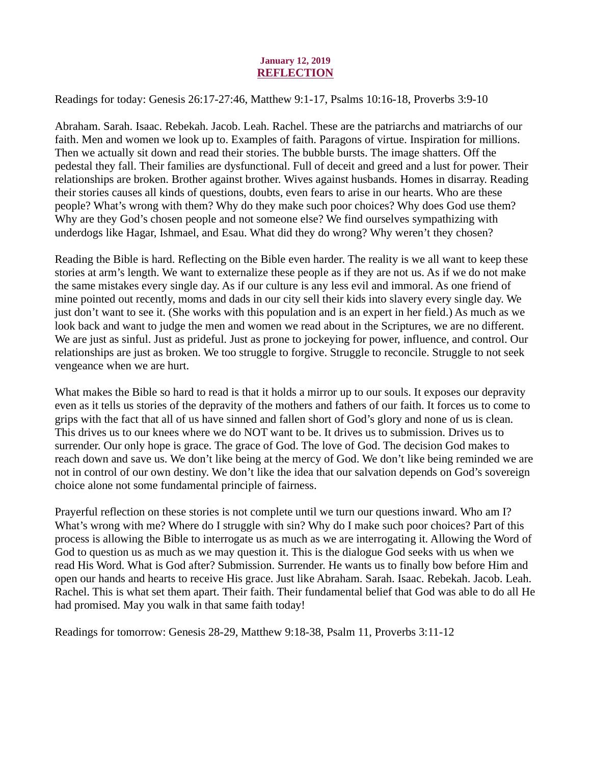#### January 12, 2019 **REFLECTION**

<span id="page-14-0"></span>[Readings for today: Genesis 26:17-27:46, Matthew 9:1-17, Psalms 10:16-18, Proverbs 3:9-10](https://www.biblegateway.com/passage/?search=Genesis+26%3A17-27%3A46%2C+Matthew+9%3A1-17%2C+Psalms+10%3A16-18%2C+Proverbs+3%3A9-10&version=ESV)

Abraham. Sarah. Isaac. Rebekah. Jacob. Leah. Rachel. These are the patriarchs and matriarchs of our faith. Men and women we look up to. Examples of faith. Paragons of virtue. Inspiration for millions. Then we actually sit down and read their stories. The bubble bursts. The image shatters. Off the pedestal they fall. Their families are dysfunctional. Full of deceit and greed and a lust for power. Their relationships are broken. Brother against brother. Wives against husbands. Homes in disarray. Reading their stories causes all kinds of questions, doubts, even fears to arise in our hearts. Who are these people? What's wrong with them? Why do they make such poor choices? Why does God use them? Why are they God's chosen people and not someone else? We find ourselves sympathizing with underdogs like Hagar, Ishmael, and Esau. What did they do wrong? Why weren't they chosen?

Reading the Bible is hard. Reflecting on the Bible even harder. The reality is we all want to keep these stories at arm's length. We want to externalize these people as if they are not us. As if we do not make the same mistakes every single day. As if our culture is any less evil and immoral. As one friend of mine pointed out recently, moms and dads in our city sell their kids into slavery every single day. We just don't want to see it. (She works with this population and is an expert in her field.) As much as we look back and want to judge the men and women we read about in the Scriptures, we are no different. We are just as sinful. Just as prideful. Just as prone to jockeying for power, influence, and control. Our relationships are just as broken. We too struggle to forgive. Struggle to reconcile. Struggle to not seek vengeance when we are hurt.

What makes the Bible so hard to read is that it holds a mirror up to our souls. It exposes our depravity even as it tells us stories of the depravity of the mothers and fathers of our faith. It forces us to come to grips with the fact that all of us have sinned and fallen short of God's glory and none of us is clean. This drives us to our knees where we do NOT want to be. It drives us to submission. Drives us to surrender. Our only hope is grace. The grace of God. The love of God. The decision God makes to reach down and save us. We don't like being at the mercy of God. We don't like being reminded we are not in control of our own destiny. We don't like the idea that our salvation depends on God's sovereign choice alone not some fundamental principle of fairness.

Prayerful reflection on these stories is not complete until we turn our questions inward. Who am I? What's wrong with me? Where do I struggle with sin? Why do I make such poor choices? Part of this process is allowing the Bible to interrogate us as much as we are interrogating it. Allowing the Word of God to question us as much as we may question it. This is the dialogue God seeks with us when we read His Word. What is God after? Submission. Surrender. He wants us to finally bow before Him and open our hands and hearts to receive His grace. Just like Abraham. Sarah. Isaac. Rebekah. Jacob. Leah. Rachel. This is what set them apart. Their faith. Their fundamental belief that God was able to do all He had promised. May you walk in that same faith today!

Readings for tomorrow: Genesis 28-29, Matthew 9:18-38, Psalm 11, Proverbs 3:11-12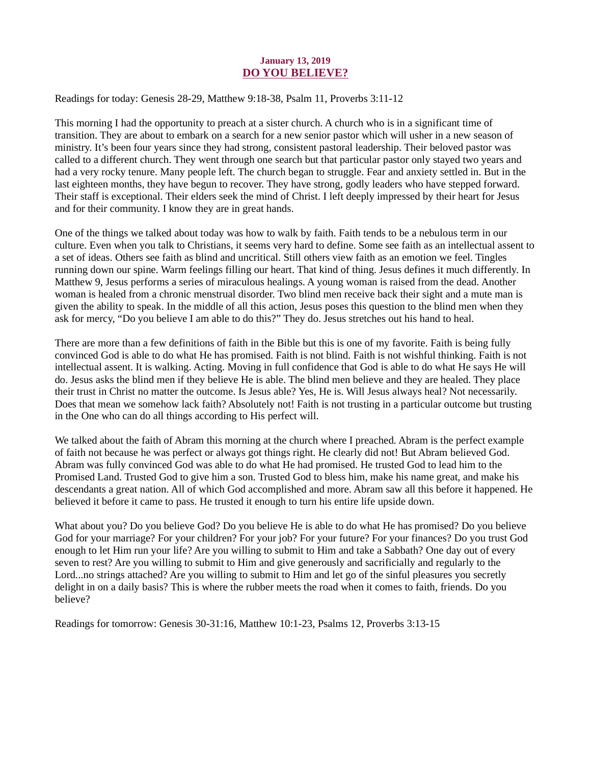#### January 13, 2019 DO YOU BELIEVE?

<span id="page-15-0"></span>[Readings for today: Genesis 28-29, Matthew 9:18-38, Psalm 11, Proverbs 3:11-12](https://www.biblegateway.com/passage/?search=Genesis+28-29%2C+Matthew+9%3A18-38%2C+Psalm+11%2C+Proverbs+3%3A11-12&version=ESV)

This morning I had the opportunity to preach at a sister church. A church who is in a significant time of transition. They are about to embark on a search for a new senior pastor which will usher in a new season of ministry. It's been four years since they had strong, consistent pastoral leadership. Their beloved pastor was called to a different church. They went through one search but that particular pastor only stayed two years and had a very rocky tenure. Many people left. The church began to struggle. Fear and anxiety settled in. But in the last eighteen months, they have begun to recover. They have strong, godly leaders who have stepped forward. Their staff is exceptional. Their elders seek the mind of Christ. I left deeply impressed by their heart for Jesus and for their community. I know they are in great hands.

One of the things we talked about today was how to walk by faith. Faith tends to be a nebulous term in our culture. Even when you talk to Christians, it seems very hard to define. Some see faith as an intellectual assent to a set of ideas. Others see faith as blind and uncritical. Still others view faith as an emotion we feel. Tingles running down our spine. Warm feelings filling our heart. That kind of thing. Jesus defines it much differently. In Matthew 9, Jesus performs a series of miraculous healings. A young woman is raised from the dead. Another woman is healed from a chronic menstrual disorder. Two blind men receive back their sight and a mute man is given the ability to speak. In the middle of all this action, Jesus poses this question to the blind men when they ask for mercy, "Do you believe I am able to do this?" They do. Jesus stretches out his hand to heal.

There are more than a few definitions of faith in the Bible but this is one of my favorite. Faith is being fully convinced God is able to do what He has promised. Faith is not blind. Faith is not wishful thinking. Faith is not intellectual assent. It is walking. Acting. Moving in full confidence that God is able to do what He says He will do. Jesus asks the blind men if they believe He is able. The blind men believe and they are healed. They place their trust in Christ no matter the outcome. Is Jesus able? Yes, He is. Will Jesus always heal? Not necessarily. Does that mean we somehow lack faith? Absolutely not! Faith is not trusting in a particular outcome but trusting in the One who can do all things according to His perfect will.

We talked about the faith of Abram this morning at the church where I preached. Abram is the perfect example of faith not because he was perfect or always got things right. He clearly did not! But Abram believed God. Abram was fully convinced God was able to do what He had promised. He trusted God to lead him to the Promised Land. Trusted God to give him a son. Trusted God to bless him, make his name great, and make his descendants a great nation. All of which God accomplished and more. Abram saw all this before it happened. He believed it before it came to pass. He trusted it enough to turn his entire life upside down.

What about you? Do you believe God? Do you believe He is able to do what He has promised? Do you believe God for your marriage? For your children? For your job? For your future? For your finances? Do you trust God enough to let Him run your life? Are you willing to submit to Him and take a Sabbath? One day out of every seven to rest? Are you willing to submit to Him and give generously and sacrificially and regularly to the Lord...no strings attached? Are you willing to submit to Him and let go of the sinful pleasures you secretly delight in on a daily basis? This is where the rubber meets the road when it comes to faith, friends. Do you believe?

Readings for tomorrow: Genesis 30-31:16, Matthew 10:1-23, Psalms 12, Proverbs 3:13-15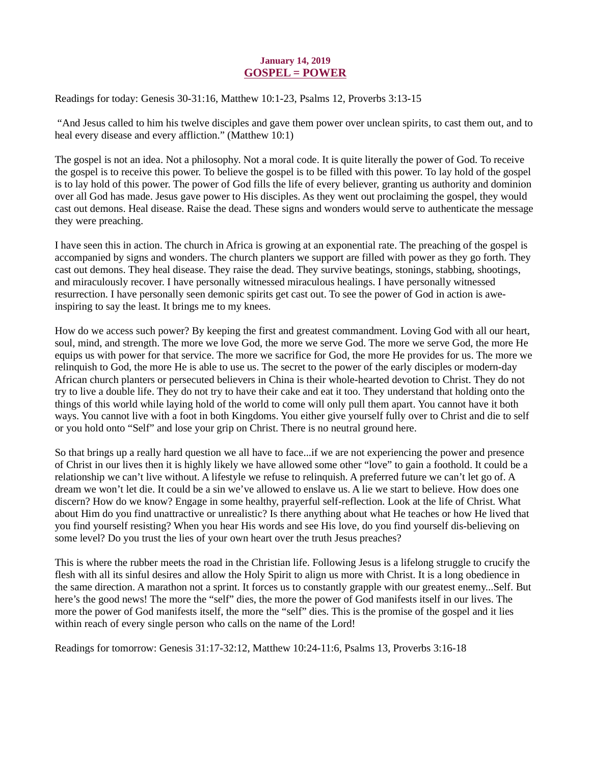#### January 14, 2019 GOSPEL = POWER

<span id="page-16-0"></span>[Readings for today: Genesis 30-31:16, Matthew 10:1-23, Psalms 12, Proverbs 3:13-15](https://www.biblegateway.com/passage/?search=Genesis+30-31%3A16%2C+Matthew+10%3A1-23%2C+Psalms+12%2C+Proverbs+3%3A13-15&version=ESV)

 "And Jesus called to him his twelve disciples and gave them power over unclean spirits, to cast them out, and to heal every disease and every affliction." (Matthew 10:1)

The gospel is not an idea. Not a philosophy. Not a moral code. It is quite literally the power of God. To receive the gospel is to receive this power. To believe the gospel is to be filled with this power. To lay hold of the gospel is to lay hold of this power. The power of God fills the life of every believer, granting us authority and dominion over all God has made. Jesus gave power to His disciples. As they went out proclaiming the gospel, they would cast out demons. Heal disease. Raise the dead. These signs and wonders would serve to authenticate the message they were preaching.

I have seen this in action. The church in Africa is growing at an exponential rate. The preaching of the gospel is accompanied by signs and wonders. The church planters we support are filled with power as they go forth. They cast out demons. They heal disease. They raise the dead. They survive beatings, stonings, stabbing, shootings, and miraculously recover. I have personally witnessed miraculous healings. I have personally witnessed resurrection. I have personally seen demonic spirits get cast out. To see the power of God in action is aweinspiring to say the least. It brings me to my knees.

How do we access such power? By keeping the first and greatest commandment. Loving God with all our heart, soul, mind, and strength. The more we love God, the more we serve God. The more we serve God, the more He equips us with power for that service. The more we sacrifice for God, the more He provides for us. The more we relinquish to God, the more He is able to use us. The secret to the power of the early disciples or modern-day African church planters or persecuted believers in China is their whole-hearted devotion to Christ. They do not try to live a double life. They do not try to have their cake and eat it too. They understand that holding onto the things of this world while laying hold of the world to come will only pull them apart. You cannot have it both ways. You cannot live with a foot in both Kingdoms. You either give yourself fully over to Christ and die to self or you hold onto "Self" and lose your grip on Christ. There is no neutral ground here.

So that brings up a really hard question we all have to face...if we are not experiencing the power and presence of Christ in our lives then it is highly likely we have allowed some other "love" to gain a foothold. It could be a relationship we can't live without. A lifestyle we refuse to relinquish. A preferred future we can't let go of. A dream we won't let die. It could be a sin we've allowed to enslave us. A lie we start to believe. How does one discern? How do we know? Engage in some healthy, prayerful self-reflection. Look at the life of Christ. What about Him do you find unattractive or unrealistic? Is there anything about what He teaches or how He lived that you find yourself resisting? When you hear His words and see His love, do you find yourself dis-believing on some level? Do you trust the lies of your own heart over the truth Jesus preaches?

This is where the rubber meets the road in the Christian life. Following Jesus is a lifelong struggle to crucify the flesh with all its sinful desires and allow the Holy Spirit to align us more with Christ. It is a long obedience in the same direction. A marathon not a sprint. It forces us to constantly grapple with our greatest enemy...Self. But here's the good news! The more the "self" dies, the more the power of God manifests itself in our lives. The more the power of God manifests itself, the more the "self" dies. This is the promise of the gospel and it lies within reach of every single person who calls on the name of the Lord!

Readings for tomorrow: Genesis 31:17-32:12, Matthew 10:24-11:6, Psalms 13, Proverbs 3:16-18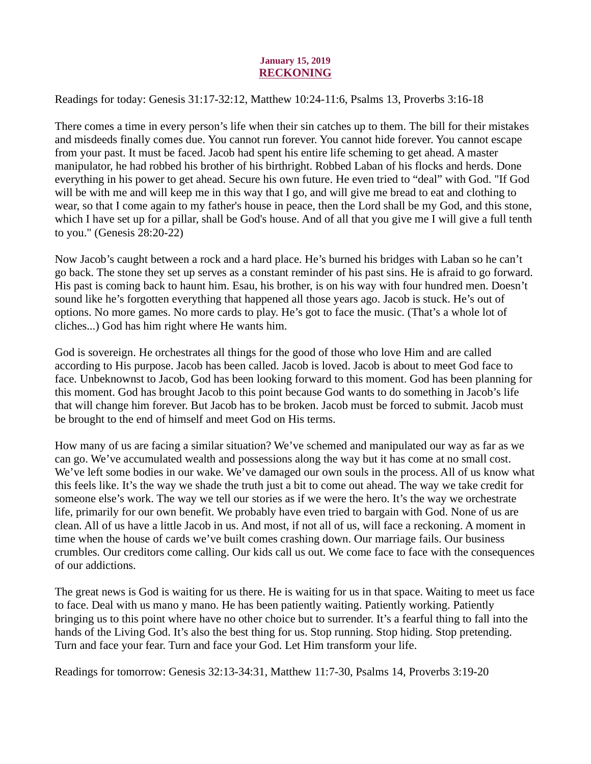#### January 15, 2019 RECKONING

<span id="page-17-0"></span>[Readings for today: Genesis 31:17-32:12, Matthew 10:24-11:6, Psalms 13, Proverbs 3:16-18](https://www.biblegateway.com/passage/?search=Genesis+31%3A17-32%3A12%2C+Matthew+10%3A24-11%3A6%2C+Psalms+13%2C+Proverbs+3%3A16-18&version=ESV)

There comes a time in every person's life when their sin catches up to them. The bill for their mistakes and misdeeds finally comes due. You cannot run forever. You cannot hide forever. You cannot escape from your past. It must be faced. Jacob had spent his entire life scheming to get ahead. A master manipulator, he had robbed his brother of his birthright. Robbed Laban of his flocks and herds. Done everything in his power to get ahead. Secure his own future. He even tried to "deal" with God. "If God will be with me and will keep me in this way that I go, and will give me bread to eat and clothing to wear, so that I come again to my father's house in peace, then the Lord shall be my God, and this stone, which I have set up for a pillar, shall be God's house. And of all that you give me I will give a full tenth to you." (Genesis 28:20-22)

Now Jacob's caught between a rock and a hard place. He's burned his bridges with Laban so he can't go back. The stone they set up serves as a constant reminder of his past sins. He is afraid to go forward. His past is coming back to haunt him. Esau, his brother, is on his way with four hundred men. Doesn't sound like he's forgotten everything that happened all those years ago. Jacob is stuck. He's out of options. No more games. No more cards to play. He's got to face the music. (That's a whole lot of cliches...) God has him right where He wants him.

God is sovereign. He orchestrates all things for the good of those who love Him and are called according to His purpose. Jacob has been called. Jacob is loved. Jacob is about to meet God face to face. Unbeknownst to Jacob, God has been looking forward to this moment. God has been planning for this moment. God has brought Jacob to this point because God wants to do something in Jacob's life that will change him forever. But Jacob has to be broken. Jacob must be forced to submit. Jacob must be brought to the end of himself and meet God on His terms.

How many of us are facing a similar situation? We've schemed and manipulated our way as far as we can go. We've accumulated wealth and possessions along the way but it has come at no small cost. We've left some bodies in our wake. We've damaged our own souls in the process. All of us know what this feels like. It's the way we shade the truth just a bit to come out ahead. The way we take credit for someone else's work. The way we tell our stories as if we were the hero. It's the way we orchestrate life, primarily for our own benefit. We probably have even tried to bargain with God. None of us are clean. All of us have a little Jacob in us. And most, if not all of us, will face a reckoning. A moment in time when the house of cards we've built comes crashing down. Our marriage fails. Our business crumbles. Our creditors come calling. Our kids call us out. We come face to face with the consequences of our addictions.

The great news is God is waiting for us there. He is waiting for us in that space. Waiting to meet us face to face. Deal with us mano y mano. He has been patiently waiting. Patiently working. Patiently bringing us to this point where have no other choice but to surrender. It's a fearful thing to fall into the hands of the Living God. It's also the best thing for us. Stop running. Stop hiding. Stop pretending. Turn and face your fear. Turn and face your God. Let Him transform your life.

Readings for tomorrow: Genesis 32:13-34:31, Matthew 11:7-30, Psalms 14, Proverbs 3:19-20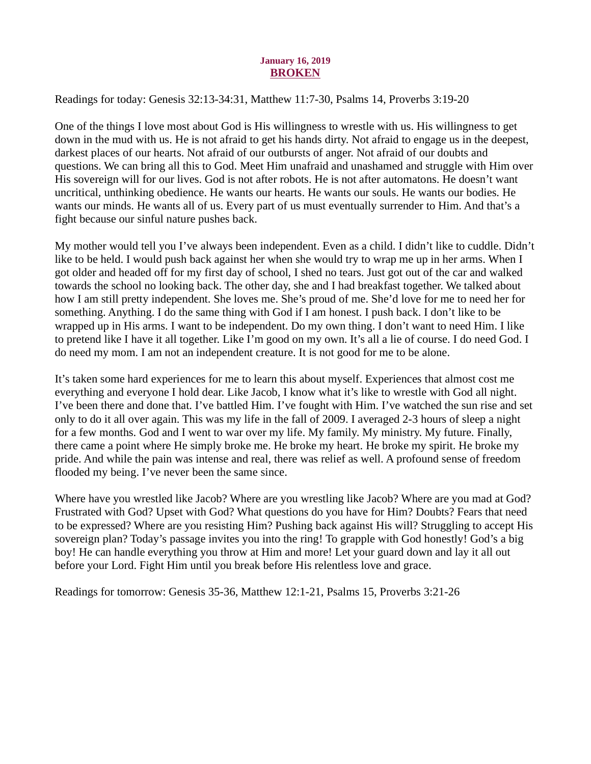#### January 16, 2019 BROKEN

<span id="page-18-0"></span>[Readings for today: Genesis 32:13-34:31, Matthew 11:7-30, Psalms 14, Proverbs 3:19-20](https://www.biblegateway.com/passage/?search=Genesis+32%3A13-34%3A31%2C+Matthew+11%3A7-30%2C+Psalms+14%2C+Proverbs+3%3A19-20&version=ESV)

One of the things I love most about God is His willingness to wrestle with us. His willingness to get down in the mud with us. He is not afraid to get his hands dirty. Not afraid to engage us in the deepest, darkest places of our hearts. Not afraid of our outbursts of anger. Not afraid of our doubts and questions. We can bring all this to God. Meet Him unafraid and unashamed and struggle with Him over His sovereign will for our lives. God is not after robots. He is not after automatons. He doesn't want uncritical, unthinking obedience. He wants our hearts. He wants our souls. He wants our bodies. He wants our minds. He wants all of us. Every part of us must eventually surrender to Him. And that's a fight because our sinful nature pushes back.

My mother would tell you I've always been independent. Even as a child. I didn't like to cuddle. Didn't like to be held. I would push back against her when she would try to wrap me up in her arms. When I got older and headed off for my first day of school, I shed no tears. Just got out of the car and walked towards the school no looking back. The other day, she and I had breakfast together. We talked about how I am still pretty independent. She loves me. She's proud of me. She'd love for me to need her for something. Anything. I do the same thing with God if I am honest. I push back. I don't like to be wrapped up in His arms. I want to be independent. Do my own thing. I don't want to need Him. I like to pretend like I have it all together. Like I'm good on my own. It's all a lie of course. I do need God. I do need my mom. I am not an independent creature. It is not good for me to be alone.

It's taken some hard experiences for me to learn this about myself. Experiences that almost cost me everything and everyone I hold dear. Like Jacob, I know what it's like to wrestle with God all night. I've been there and done that. I've battled Him. I've fought with Him. I've watched the sun rise and set only to do it all over again. This was my life in the fall of 2009. I averaged 2-3 hours of sleep a night for a few months. God and I went to war over my life. My family. My ministry. My future. Finally, there came a point where He simply broke me. He broke my heart. He broke my spirit. He broke my pride. And while the pain was intense and real, there was relief as well. A profound sense of freedom flooded my being. I've never been the same since.

Where have you wrestled like Jacob? Where are you wrestling like Jacob? Where are you mad at God? Frustrated with God? Upset with God? What questions do you have for Him? Doubts? Fears that need to be expressed? Where are you resisting Him? Pushing back against His will? Struggling to accept His sovereign plan? Today's passage invites you into the ring! To grapple with God honestly! God's a big boy! He can handle everything you throw at Him and more! Let your guard down and lay it all out before your Lord. Fight Him until you break before His relentless love and grace.

Readings for tomorrow: Genesis 35-36, Matthew 12:1-21, Psalms 15, Proverbs 3:21-26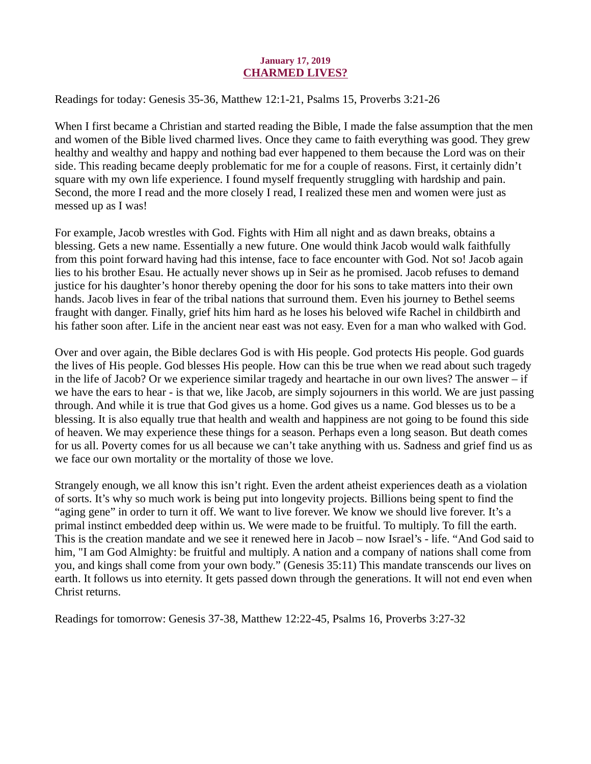#### January 17, 2019 CHARMED LIVES?

<span id="page-19-0"></span>[Readings for today: Genesis 35-36, Matthew 12:1-21, Psalms 15, Proverbs 3:21-26](https://www.biblegateway.com/passage/?search=Genesis+35-36%2C+Matthew+12%3A1-21%2C+Psalms+15%2C+Proverbs+3%3A21-26&version=ESV)

When I first became a Christian and started reading the Bible, I made the false assumption that the men and women of the Bible lived charmed lives. Once they came to faith everything was good. They grew healthy and wealthy and happy and nothing bad ever happened to them because the Lord was on their side. This reading became deeply problematic for me for a couple of reasons. First, it certainly didn't square with my own life experience. I found myself frequently struggling with hardship and pain. Second, the more I read and the more closely I read, I realized these men and women were just as messed up as I was!

For example, Jacob wrestles with God. Fights with Him all night and as dawn breaks, obtains a blessing. Gets a new name. Essentially a new future. One would think Jacob would walk faithfully from this point forward having had this intense, face to face encounter with God. Not so! Jacob again lies to his brother Esau. He actually never shows up in Seir as he promised. Jacob refuses to demand justice for his daughter's honor thereby opening the door for his sons to take matters into their own hands. Jacob lives in fear of the tribal nations that surround them. Even his journey to Bethel seems fraught with danger. Finally, grief hits him hard as he loses his beloved wife Rachel in childbirth and his father soon after. Life in the ancient near east was not easy. Even for a man who walked with God.

Over and over again, the Bible declares God is with His people. God protects His people. God guards the lives of His people. God blesses His people. How can this be true when we read about such tragedy in the life of Jacob? Or we experience similar tragedy and heartache in our own lives? The answer – if we have the ears to hear - is that we, like Jacob, are simply sojourners in this world. We are just passing through. And while it is true that God gives us a home. God gives us a name. God blesses us to be a blessing. It is also equally true that health and wealth and happiness are not going to be found this side of heaven. We may experience these things for a season. Perhaps even a long season. But death comes for us all. Poverty comes for us all because we can't take anything with us. Sadness and grief find us as we face our own mortality or the mortality of those we love.

Strangely enough, we all know this isn't right. Even the ardent atheist experiences death as a violation of sorts. It's why so much work is being put into longevity projects. Billions being spent to find the "aging gene" in order to turn it off. We want to live forever. We know we should live forever. It's a primal instinct embedded deep within us. We were made to be fruitful. To multiply. To fill the earth. This is the creation mandate and we see it renewed here in Jacob – now Israel's - life. "And God said to him, "I am God Almighty: be fruitful and multiply. A nation and a company of nations shall come from you, and kings shall come from your own body." (Genesis 35:11) This mandate transcends our lives on earth. It follows us into eternity. It gets passed down through the generations. It will not end even when Christ returns.

Readings for tomorrow: Genesis 37-38, Matthew 12:22-45, Psalms 16, Proverbs 3:27-32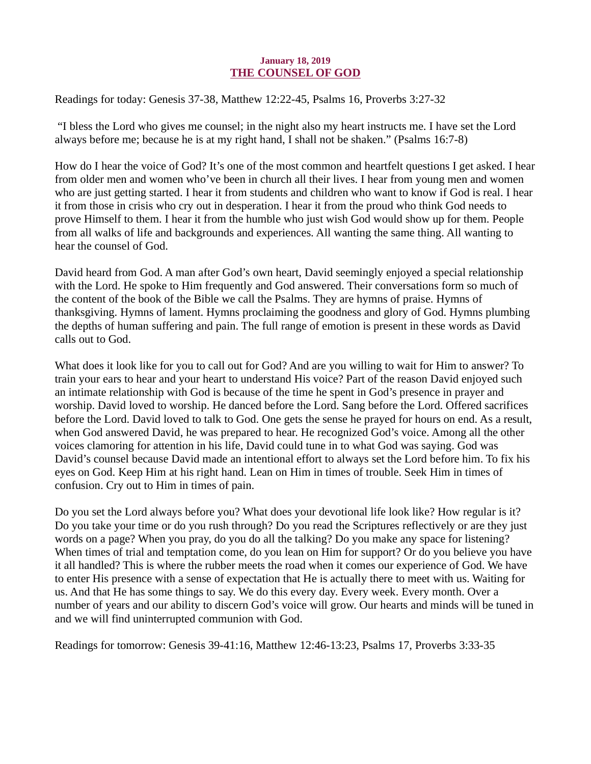#### January 18, 2019 THE COUNSEL OF GOD

<span id="page-20-0"></span>[Readings for today: Genesis 37-38, Matthew 12:22-45, Psalms 16, Proverbs 3:27-32](https://www.biblegateway.com/passage/?search=Genesis+37-38%2C+Matthew+12%3A22-45%2C+Psalms+16%2C+Proverbs+3%3A27-32&version=ESV)

 "I bless the Lord who gives me counsel; in the night also my heart instructs me. I have set the Lord always before me; because he is at my right hand, I shall not be shaken." (Psalms 16:7-8)

How do I hear the voice of God? It's one of the most common and heartfelt questions I get asked. I hear from older men and women who've been in church all their lives. I hear from young men and women who are just getting started. I hear it from students and children who want to know if God is real. I hear it from those in crisis who cry out in desperation. I hear it from the proud who think God needs to prove Himself to them. I hear it from the humble who just wish God would show up for them. People from all walks of life and backgrounds and experiences. All wanting the same thing. All wanting to hear the counsel of God.

David heard from God. A man after God's own heart, David seemingly enjoyed a special relationship with the Lord. He spoke to Him frequently and God answered. Their conversations form so much of the content of the book of the Bible we call the Psalms. They are hymns of praise. Hymns of thanksgiving. Hymns of lament. Hymns proclaiming the goodness and glory of God. Hymns plumbing the depths of human suffering and pain. The full range of emotion is present in these words as David calls out to God.

What does it look like for you to call out for God? And are you willing to wait for Him to answer? To train your ears to hear and your heart to understand His voice? Part of the reason David enjoyed such an intimate relationship with God is because of the time he spent in God's presence in prayer and worship. David loved to worship. He danced before the Lord. Sang before the Lord. Offered sacrifices before the Lord. David loved to talk to God. One gets the sense he prayed for hours on end. As a result, when God answered David, he was prepared to hear. He recognized God's voice. Among all the other voices clamoring for attention in his life, David could tune in to what God was saying. God was David's counsel because David made an intentional effort to always set the Lord before him. To fix his eyes on God. Keep Him at his right hand. Lean on Him in times of trouble. Seek Him in times of confusion. Cry out to Him in times of pain.

Do you set the Lord always before you? What does your devotional life look like? How regular is it? Do you take your time or do you rush through? Do you read the Scriptures reflectively or are they just words on a page? When you pray, do you do all the talking? Do you make any space for listening? When times of trial and temptation come, do you lean on Him for support? Or do you believe you have it all handled? This is where the rubber meets the road when it comes our experience of God. We have to enter His presence with a sense of expectation that He is actually there to meet with us. Waiting for us. And that He has some things to say. We do this every day. Every week. Every month. Over a number of years and our ability to discern God's voice will grow. Our hearts and minds will be tuned in and we will find uninterrupted communion with God.

Readings for tomorrow: Genesis 39-41:16, Matthew 12:46-13:23, Psalms 17, Proverbs 3:33-35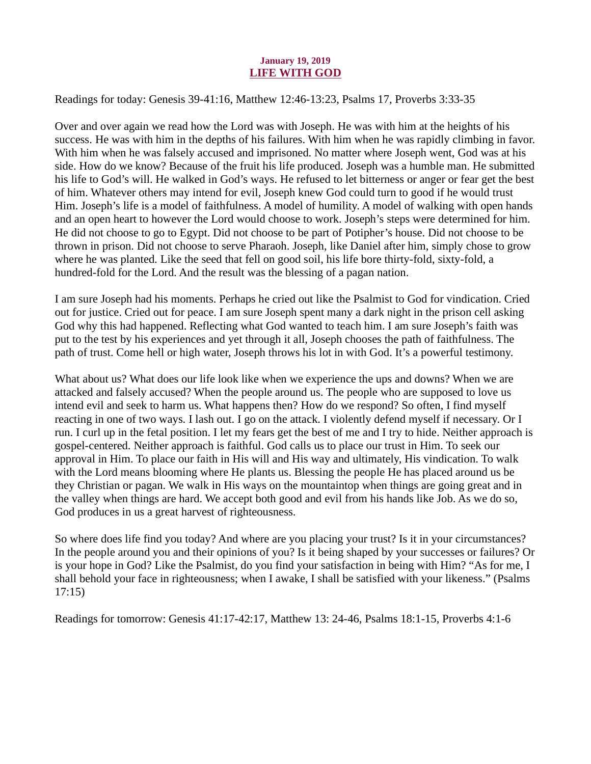#### January 19, 2019 LIFE WITH GOD

<span id="page-21-0"></span>[Readings for today: Genesis 39-41:16, Matthew 12:46-13:23, Psalms 17, Proverbs 3:33-35](https://www.biblegateway.com/passage/?search=Genesis+39-41%3A16%2C+Matthew+12%3A46-13%3A23%2C+Psalms+17%2C+Proverbs+3%3A33-35&version=ESV)

Over and over again we read how the Lord was with Joseph. He was with him at the heights of his success. He was with him in the depths of his failures. With him when he was rapidly climbing in favor. With him when he was falsely accused and imprisoned. No matter where Joseph went, God was at his side. How do we know? Because of the fruit his life produced. Joseph was a humble man. He submitted his life to God's will. He walked in God's ways. He refused to let bitterness or anger or fear get the best of him. Whatever others may intend for evil, Joseph knew God could turn to good if he would trust Him. Joseph's life is a model of faithfulness. A model of humility. A model of walking with open hands and an open heart to however the Lord would choose to work. Joseph's steps were determined for him. He did not choose to go to Egypt. Did not choose to be part of Potipher's house. Did not choose to be thrown in prison. Did not choose to serve Pharaoh. Joseph, like Daniel after him, simply chose to grow where he was planted. Like the seed that fell on good soil, his life bore thirty-fold, sixty-fold, a hundred-fold for the Lord. And the result was the blessing of a pagan nation.

I am sure Joseph had his moments. Perhaps he cried out like the Psalmist to God for vindication. Cried out for justice. Cried out for peace. I am sure Joseph spent many a dark night in the prison cell asking God why this had happened. Reflecting what God wanted to teach him. I am sure Joseph's faith was put to the test by his experiences and yet through it all, Joseph chooses the path of faithfulness. The path of trust. Come hell or high water, Joseph throws his lot in with God. It's a powerful testimony.

What about us? What does our life look like when we experience the ups and downs? When we are attacked and falsely accused? When the people around us. The people who are supposed to love us intend evil and seek to harm us. What happens then? How do we respond? So often, I find myself reacting in one of two ways. I lash out. I go on the attack. I violently defend myself if necessary. Or I run. I curl up in the fetal position. I let my fears get the best of me and I try to hide. Neither approach is gospel-centered. Neither approach is faithful. God calls us to place our trust in Him. To seek our approval in Him. To place our faith in His will and His way and ultimately, His vindication. To walk with the Lord means blooming where He plants us. Blessing the people He has placed around us be they Christian or pagan. We walk in His ways on the mountaintop when things are going great and in the valley when things are hard. We accept both good and evil from his hands like Job. As we do so, God produces in us a great harvest of righteousness.

So where does life find you today? And where are you placing your trust? Is it in your circumstances? In the people around you and their opinions of you? Is it being shaped by your successes or failures? Or is your hope in God? Like the Psalmist, do you find your satisfaction in being with Him? "As for me, I shall behold your face in righteousness; when I awake, I shall be satisfied with your likeness." (Psalms 17:15)

Readings for tomorrow: Genesis 41:17-42:17, Matthew 13: 24-46, Psalms 18:1-15, Proverbs 4:1-6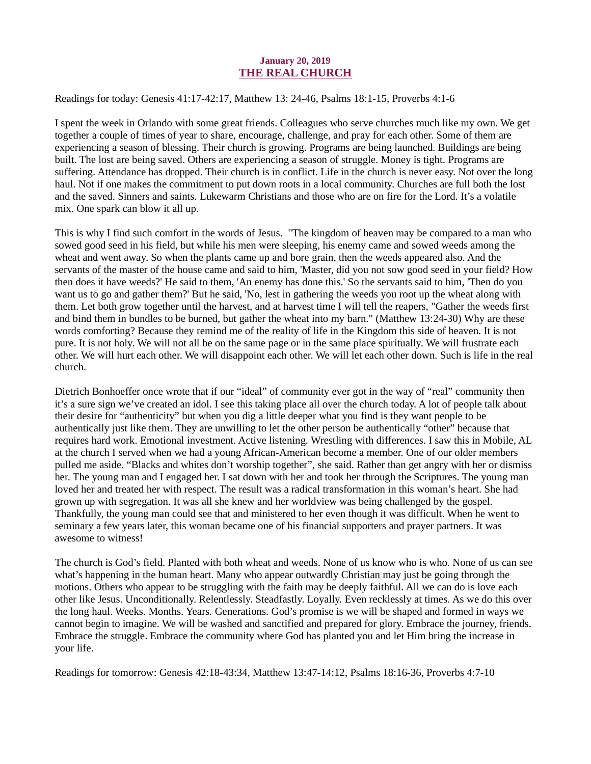#### January 20, 2019 THE REAL CHURCH

#### <span id="page-22-0"></span>[Readings for today: Genesis 41:17-42:17, Matthew 13: 24-46, Psalms 18:1-15, Proverbs 4:1-6](https://www.biblegateway.com/passage/?search=Genesis+41%3A17-42%3A17%2C+Matthew+13%3A+24-46%2C+Psalms+18%3A1-15%2C+Proverbs+4%3A1-6&version=ESV)

I spent the week in Orlando with some great friends. Colleagues who serve churches much like my own. We get together a couple of times of year to share, encourage, challenge, and pray for each other. Some of them are experiencing a season of blessing. Their church is growing. Programs are being launched. Buildings are being built. The lost are being saved. Others are experiencing a season of struggle. Money is tight. Programs are suffering. Attendance has dropped. Their church is in conflict. Life in the church is never easy. Not over the long haul. Not if one makes the commitment to put down roots in a local community. Churches are full both the lost and the saved. Sinners and saints. Lukewarm Christians and those who are on fire for the Lord. It's a volatile mix. One spark can blow it all up.

This is why I find such comfort in the words of Jesus. "The kingdom of heaven may be compared to a man who sowed good seed in his field, but while his men were sleeping, his enemy came and sowed weeds among the wheat and went away. So when the plants came up and bore grain, then the weeds appeared also. And the servants of the master of the house came and said to him, 'Master, did you not sow good seed in your field? How then does it have weeds?' He said to them, 'An enemy has done this.' So the servants said to him, 'Then do you want us to go and gather them?' But he said, 'No, lest in gathering the weeds you root up the wheat along with them. Let both grow together until the harvest, and at harvest time I will tell the reapers, "Gather the weeds first and bind them in bundles to be burned, but gather the wheat into my barn." (Matthew 13:24-30) Why are these words comforting? Because they remind me of the reality of life in the Kingdom this side of heaven. It is not pure. It is not holy. We will not all be on the same page or in the same place spiritually. We will frustrate each other. We will hurt each other. We will disappoint each other. We will let each other down. Such is life in the real church.

Dietrich Bonhoeffer once wrote that if our "ideal" of community ever got in the way of "real" community then it's a sure sign we've created an idol. I see this taking place all over the church today. A lot of people talk about their desire for "authenticity" but when you dig a little deeper what you find is they want people to be authentically just like them. They are unwilling to let the other person be authentically "other" because that requires hard work. Emotional investment. Active listening. Wrestling with differences. I saw this in Mobile, AL at the church I served when we had a young African-American become a member. One of our older members pulled me aside. "Blacks and whites don't worship together", she said. Rather than get angry with her or dismiss her. The young man and I engaged her. I sat down with her and took her through the Scriptures. The young man loved her and treated her with respect. The result was a radical transformation in this woman's heart. She had grown up with segregation. It was all she knew and her worldview was being challenged by the gospel. Thankfully, the young man could see that and ministered to her even though it was difficult. When he went to seminary a few years later, this woman became one of his financial supporters and prayer partners. It was awesome to witness!

The church is God's field. Planted with both wheat and weeds. None of us know who is who. None of us can see what's happening in the human heart. Many who appear outwardly Christian may just be going through the motions. Others who appear to be struggling with the faith may be deeply faithful. All we can do is love each other like Jesus. Unconditionally. Relentlessly. Steadfastly. Loyally. Even recklessly at times. As we do this over the long haul. Weeks. Months. Years. Generations. God's promise is we will be shaped and formed in ways we cannot begin to imagine. We will be washed and sanctified and prepared for glory. Embrace the journey, friends. Embrace the struggle. Embrace the community where God has planted you and let Him bring the increase in your life.

Readings for tomorrow: Genesis 42:18-43:34, Matthew 13:47-14:12, Psalms 18:16-36, Proverbs 4:7-10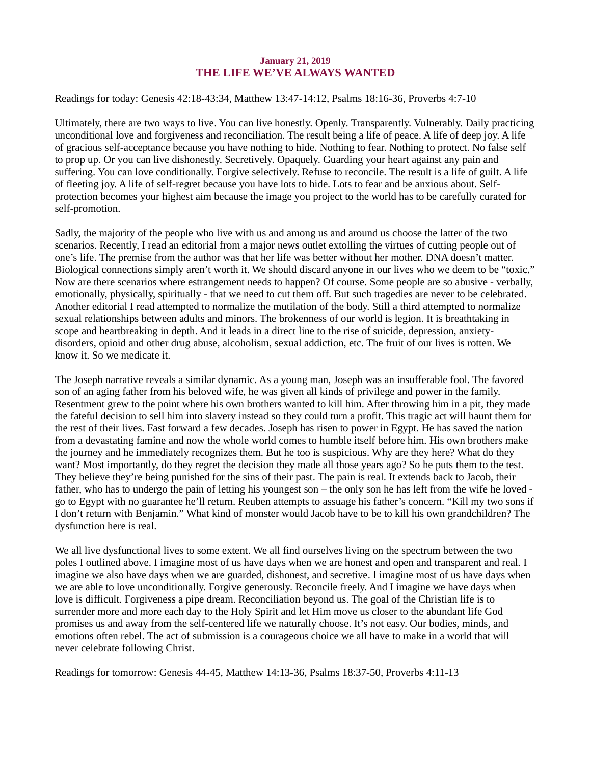#### January 21, 2019 THE LIFE WE'VE ALWAYS WANTED

#### <span id="page-23-0"></span>[Readings for today: Genesis 42:18-43:34, Matthew 13:47-14:12, Psalms 18:16-36, Proverbs 4:7-10](https://www.biblegateway.com/passage/?search=Genesis+42%3A18-43%3A34%2C+Matthew+13%3A47-14%3A12%2C+Psalms+18%3A16-36%2C+Proverbs+4%3A7-10&version=ESV)

Ultimately, there are two ways to live. You can live honestly. Openly. Transparently. Vulnerably. Daily practicing unconditional love and forgiveness and reconciliation. The result being a life of peace. A life of deep joy. A life of gracious self-acceptance because you have nothing to hide. Nothing to fear. Nothing to protect. No false self to prop up. Or you can live dishonestly. Secretively. Opaquely. Guarding your heart against any pain and suffering. You can love conditionally. Forgive selectively. Refuse to reconcile. The result is a life of guilt. A life of fleeting joy. A life of self-regret because you have lots to hide. Lots to fear and be anxious about. Selfprotection becomes your highest aim because the image you project to the world has to be carefully curated for self-promotion.

Sadly, the majority of the people who live with us and among us and around us choose the latter of the two scenarios. Recently, I read an editorial from a major news outlet extolling the virtues of cutting people out of one's life. The premise from the author was that her life was better without her mother. DNA doesn't matter. Biological connections simply aren't worth it. We should discard anyone in our lives who we deem to be "toxic." Now are there scenarios where estrangement needs to happen? Of course. Some people are so abusive - verbally, emotionally, physically, spiritually - that we need to cut them off. But such tragedies are never to be celebrated. Another editorial I read attempted to normalize the mutilation of the body. Still a third attempted to normalize sexual relationships between adults and minors. The brokenness of our world is legion. It is breathtaking in scope and heartbreaking in depth. And it leads in a direct line to the rise of suicide, depression, anxietydisorders, opioid and other drug abuse, alcoholism, sexual addiction, etc. The fruit of our lives is rotten. We know it. So we medicate it.

The Joseph narrative reveals a similar dynamic. As a young man, Joseph was an insufferable fool. The favored son of an aging father from his beloved wife, he was given all kinds of privilege and power in the family. Resentment grew to the point where his own brothers wanted to kill him. After throwing him in a pit, they made the fateful decision to sell him into slavery instead so they could turn a profit. This tragic act will haunt them for the rest of their lives. Fast forward a few decades. Joseph has risen to power in Egypt. He has saved the nation from a devastating famine and now the whole world comes to humble itself before him. His own brothers make the journey and he immediately recognizes them. But he too is suspicious. Why are they here? What do they want? Most importantly, do they regret the decision they made all those years ago? So he puts them to the test. They believe they're being punished for the sins of their past. The pain is real. It extends back to Jacob, their father, who has to undergo the pain of letting his youngest son – the only son he has left from the wife he loved go to Egypt with no guarantee he'll return. Reuben attempts to assuage his father's concern. "Kill my two sons if I don't return with Benjamin." What kind of monster would Jacob have to be to kill his own grandchildren? The dysfunction here is real.

We all live dysfunctional lives to some extent. We all find ourselves living on the spectrum between the two poles I outlined above. I imagine most of us have days when we are honest and open and transparent and real. I imagine we also have days when we are guarded, dishonest, and secretive. I imagine most of us have days when we are able to love unconditionally. Forgive generously. Reconcile freely. And I imagine we have days when love is difficult. Forgiveness a pipe dream. Reconciliation beyond us. The goal of the Christian life is to surrender more and more each day to the Holy Spirit and let Him move us closer to the abundant life God promises us and away from the self-centered life we naturally choose. It's not easy. Our bodies, minds, and emotions often rebel. The act of submission is a courageous choice we all have to make in a world that will never celebrate following Christ.

Readings for tomorrow: Genesis 44-45, Matthew 14:13-36, Psalms 18:37-50, Proverbs 4:11-13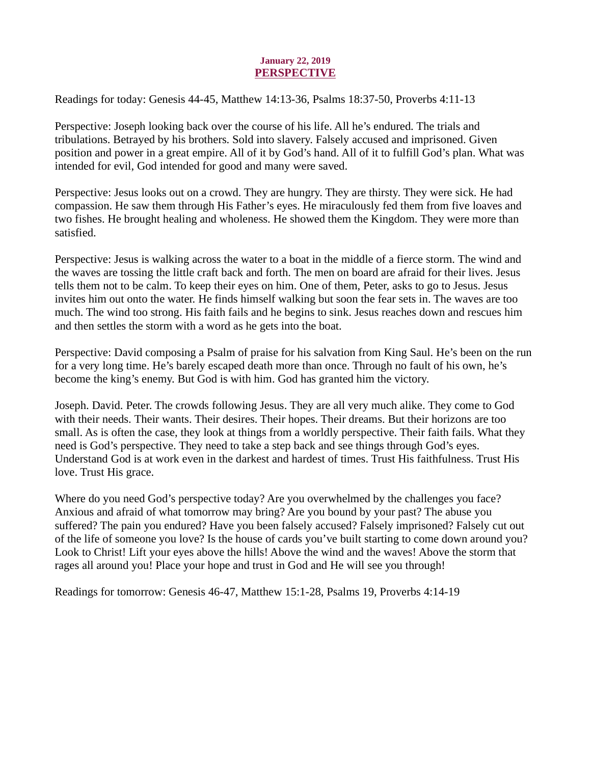#### January 22, 2019 PERSPECTIVE

<span id="page-24-0"></span>[Readings for today: Genesis 44-45, Matthew 14:13-36, Psalms 18:37-50, Proverbs 4:11-13](https://www.biblegateway.com/passage/?search=Genesis+44-45%2C+Matthew+14%3A13-36%2C+Psalms+18%3A37-50%2C+Proverbs+4%3A11-13&version=ESV)

Perspective: Joseph looking back over the course of his life. All he's endured. The trials and tribulations. Betrayed by his brothers. Sold into slavery. Falsely accused and imprisoned. Given position and power in a great empire. All of it by God's hand. All of it to fulfill God's plan. What was intended for evil, God intended for good and many were saved.

Perspective: Jesus looks out on a crowd. They are hungry. They are thirsty. They were sick. He had compassion. He saw them through His Father's eyes. He miraculously fed them from five loaves and two fishes. He brought healing and wholeness. He showed them the Kingdom. They were more than satisfied.

Perspective: Jesus is walking across the water to a boat in the middle of a fierce storm. The wind and the waves are tossing the little craft back and forth. The men on board are afraid for their lives. Jesus tells them not to be calm. To keep their eyes on him. One of them, Peter, asks to go to Jesus. Jesus invites him out onto the water. He finds himself walking but soon the fear sets in. The waves are too much. The wind too strong. His faith fails and he begins to sink. Jesus reaches down and rescues him and then settles the storm with a word as he gets into the boat.

Perspective: David composing a Psalm of praise for his salvation from King Saul. He's been on the run for a very long time. He's barely escaped death more than once. Through no fault of his own, he's become the king's enemy. But God is with him. God has granted him the victory.

Joseph. David. Peter. The crowds following Jesus. They are all very much alike. They come to God with their needs. Their wants. Their desires. Their hopes. Their dreams. But their horizons are too small. As is often the case, they look at things from a worldly perspective. Their faith fails. What they need is God's perspective. They need to take a step back and see things through God's eyes. Understand God is at work even in the darkest and hardest of times. Trust His faithfulness. Trust His love. Trust His grace.

Where do you need God's perspective today? Are you overwhelmed by the challenges you face? Anxious and afraid of what tomorrow may bring? Are you bound by your past? The abuse you suffered? The pain you endured? Have you been falsely accused? Falsely imprisoned? Falsely cut out of the life of someone you love? Is the house of cards you've built starting to come down around you? Look to Christ! Lift your eyes above the hills! Above the wind and the waves! Above the storm that rages all around you! Place your hope and trust in God and He will see you through!

Readings for tomorrow: Genesis 46-47, Matthew 15:1-28, Psalms 19, Proverbs 4:14-19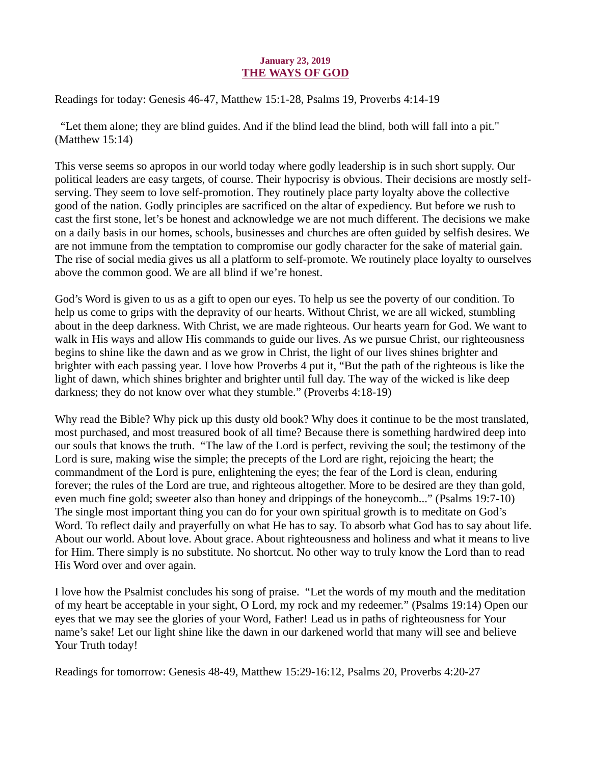#### January 23, 2019 THE WAYS OF GOD

<span id="page-25-0"></span>[Readings for today: Genesis 46-47, Matthew 15:1-28, Psalms 19, Proverbs 4:14-19](https://www.biblegateway.com/passage/?search=Genesis+46-47%2C+Matthew+15%3A1-28%2C+Psalms+19%2C+Proverbs+4%3A14-19&version=ESV)

 "Let them alone; they are blind guides. And if the blind lead the blind, both will fall into a pit." (Matthew 15:14)

This verse seems so apropos in our world today where godly leadership is in such short supply. Our political leaders are easy targets, of course. Their hypocrisy is obvious. Their decisions are mostly selfserving. They seem to love self-promotion. They routinely place party loyalty above the collective good of the nation. Godly principles are sacrificed on the altar of expediency. But before we rush to cast the first stone, let's be honest and acknowledge we are not much different. The decisions we make on a daily basis in our homes, schools, businesses and churches are often guided by selfish desires. We are not immune from the temptation to compromise our godly character for the sake of material gain. The rise of social media gives us all a platform to self-promote. We routinely place loyalty to ourselves above the common good. We are all blind if we're honest.

God's Word is given to us as a gift to open our eyes. To help us see the poverty of our condition. To help us come to grips with the depravity of our hearts. Without Christ, we are all wicked, stumbling about in the deep darkness. With Christ, we are made righteous. Our hearts yearn for God. We want to walk in His ways and allow His commands to guide our lives. As we pursue Christ, our righteousness begins to shine like the dawn and as we grow in Christ, the light of our lives shines brighter and brighter with each passing year. I love how Proverbs 4 put it, "But the path of the righteous is like the light of dawn, which shines brighter and brighter until full day. The way of the wicked is like deep darkness; they do not know over what they stumble." (Proverbs 4:18-19)

Why read the Bible? Why pick up this dusty old book? Why does it continue to be the most translated, most purchased, and most treasured book of all time? Because there is something hardwired deep into our souls that knows the truth. "The law of the Lord is perfect, reviving the soul; the testimony of the Lord is sure, making wise the simple; the precepts of the Lord are right, rejoicing the heart; the commandment of the Lord is pure, enlightening the eyes; the fear of the Lord is clean, enduring forever; the rules of the Lord are true, and righteous altogether. More to be desired are they than gold, even much fine gold; sweeter also than honey and drippings of the honeycomb..." (Psalms 19:7-10) The single most important thing you can do for your own spiritual growth is to meditate on God's Word. To reflect daily and prayerfully on what He has to say. To absorb what God has to say about life. About our world. About love. About grace. About righteousness and holiness and what it means to live for Him. There simply is no substitute. No shortcut. No other way to truly know the Lord than to read His Word over and over again.

I love how the Psalmist concludes his song of praise. "Let the words of my mouth and the meditation of my heart be acceptable in your sight, O Lord, my rock and my redeemer." (Psalms 19:14) Open our eyes that we may see the glories of your Word, Father! Lead us in paths of righteousness for Your name's sake! Let our light shine like the dawn in our darkened world that many will see and believe Your Truth today!

Readings for tomorrow: Genesis 48-49, Matthew 15:29-16:12, Psalms 20, Proverbs 4:20-27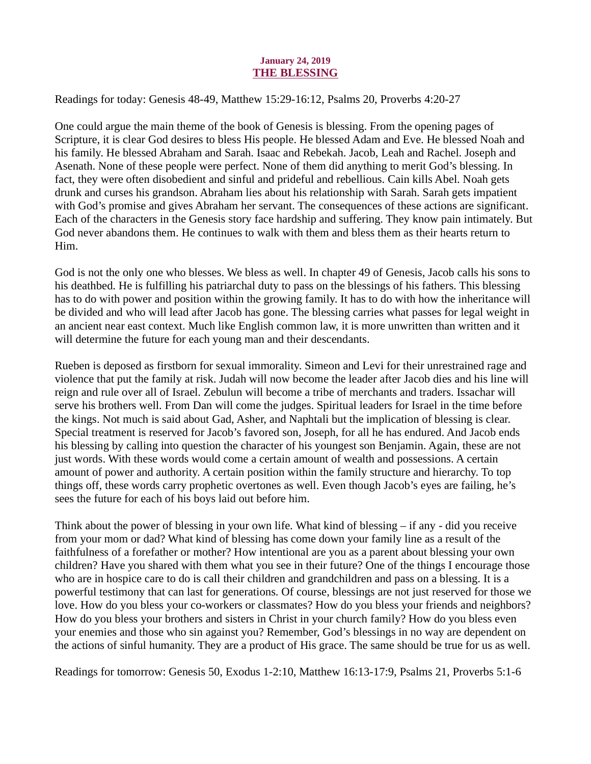#### January 24, 2019 THE BLESSING

<span id="page-26-0"></span>[Readings for today: Genesis 48-49, Matthew 15:29-16:12, Psalms 20, Proverbs 4:20-27](https://www.biblegateway.com/passage/?search=Genesis+48-49%2C+Matthew+15%3A29-16%3A12%2C+Psalms+20%2C+Proverbs+4%3A20-27&version=ESV)

One could argue the main theme of the book of Genesis is blessing. From the opening pages of Scripture, it is clear God desires to bless His people. He blessed Adam and Eve. He blessed Noah and his family. He blessed Abraham and Sarah. Isaac and Rebekah. Jacob, Leah and Rachel. Joseph and Asenath. None of these people were perfect. None of them did anything to merit God's blessing. In fact, they were often disobedient and sinful and prideful and rebellious. Cain kills Abel. Noah gets drunk and curses his grandson. Abraham lies about his relationship with Sarah. Sarah gets impatient with God's promise and gives Abraham her servant. The consequences of these actions are significant. Each of the characters in the Genesis story face hardship and suffering. They know pain intimately. But God never abandons them. He continues to walk with them and bless them as their hearts return to Him.

God is not the only one who blesses. We bless as well. In chapter 49 of Genesis, Jacob calls his sons to his deathbed. He is fulfilling his patriarchal duty to pass on the blessings of his fathers. This blessing has to do with power and position within the growing family. It has to do with how the inheritance will be divided and who will lead after Jacob has gone. The blessing carries what passes for legal weight in an ancient near east context. Much like English common law, it is more unwritten than written and it will determine the future for each young man and their descendants.

Rueben is deposed as firstborn for sexual immorality. Simeon and Levi for their unrestrained rage and violence that put the family at risk. Judah will now become the leader after Jacob dies and his line will reign and rule over all of Israel. Zebulun will become a tribe of merchants and traders. Issachar will serve his brothers well. From Dan will come the judges. Spiritual leaders for Israel in the time before the kings. Not much is said about Gad, Asher, and Naphtali but the implication of blessing is clear. Special treatment is reserved for Jacob's favored son, Joseph, for all he has endured. And Jacob ends his blessing by calling into question the character of his youngest son Benjamin. Again, these are not just words. With these words would come a certain amount of wealth and possessions. A certain amount of power and authority. A certain position within the family structure and hierarchy. To top things off, these words carry prophetic overtones as well. Even though Jacob's eyes are failing, he's sees the future for each of his boys laid out before him.

Think about the power of blessing in your own life. What kind of blessing – if any - did you receive from your mom or dad? What kind of blessing has come down your family line as a result of the faithfulness of a forefather or mother? How intentional are you as a parent about blessing your own children? Have you shared with them what you see in their future? One of the things I encourage those who are in hospice care to do is call their children and grandchildren and pass on a blessing. It is a powerful testimony that can last for generations. Of course, blessings are not just reserved for those we love. How do you bless your co-workers or classmates? How do you bless your friends and neighbors? How do you bless your brothers and sisters in Christ in your church family? How do you bless even your enemies and those who sin against you? Remember, God's blessings in no way are dependent on the actions of sinful humanity. They are a product of His grace. The same should be true for us as well.

Readings for tomorrow: Genesis 50, Exodus 1-2:10, Matthew 16:13-17:9, Psalms 21, Proverbs 5:1-6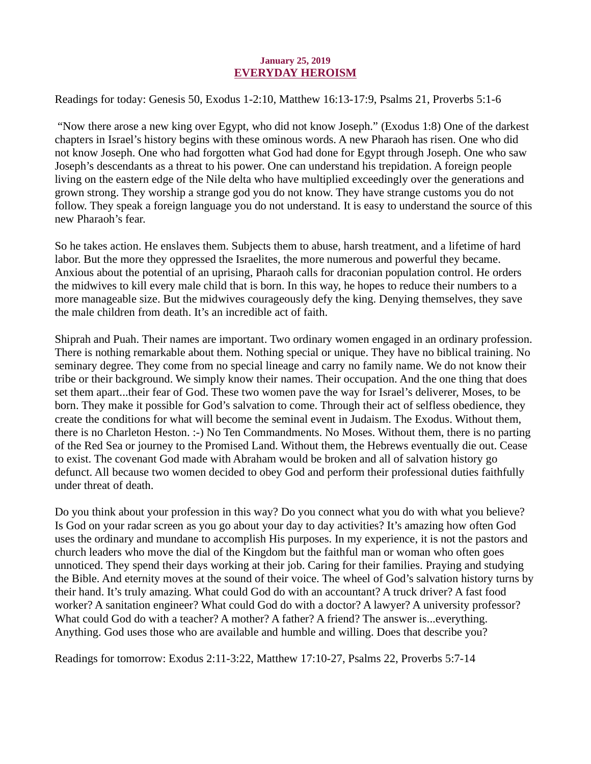#### January 25, 2019 EVERYDAY HEROISM

<span id="page-27-0"></span>[Readings for today: Genesis 50, Exodus 1-2:10, Matthew 16:13-17:9, Psalms 21, Proverbs 5:1-6](https://www.biblegateway.com/passage/?search=Genesis+50%2C+Exodus+1-2%3A10%2C+Matthew+16%3A13-17%3A9%2C+Psalms+21%2C+Proverbs+5%3A1-6&version=ESV)

 "Now there arose a new king over Egypt, who did not know Joseph." (Exodus 1:8) One of the darkest chapters in Israel's history begins with these ominous words. A new Pharaoh has risen. One who did not know Joseph. One who had forgotten what God had done for Egypt through Joseph. One who saw Joseph's descendants as a threat to his power. One can understand his trepidation. A foreign people living on the eastern edge of the Nile delta who have multiplied exceedingly over the generations and grown strong. They worship a strange god you do not know. They have strange customs you do not follow. They speak a foreign language you do not understand. It is easy to understand the source of this new Pharaoh's fear.

So he takes action. He enslaves them. Subjects them to abuse, harsh treatment, and a lifetime of hard labor. But the more they oppressed the Israelites, the more numerous and powerful they became. Anxious about the potential of an uprising, Pharaoh calls for draconian population control. He orders the midwives to kill every male child that is born. In this way, he hopes to reduce their numbers to a more manageable size. But the midwives courageously defy the king. Denying themselves, they save the male children from death. It's an incredible act of faith.

Shiprah and Puah. Their names are important. Two ordinary women engaged in an ordinary profession. There is nothing remarkable about them. Nothing special or unique. They have no biblical training. No seminary degree. They come from no special lineage and carry no family name. We do not know their tribe or their background. We simply know their names. Their occupation. And the one thing that does set them apart...their fear of God. These two women pave the way for Israel's deliverer, Moses, to be born. They make it possible for God's salvation to come. Through their act of selfless obedience, they create the conditions for what will become the seminal event in Judaism. The Exodus. Without them, there is no Charleton Heston. :-) No Ten Commandments. No Moses. Without them, there is no parting of the Red Sea or journey to the Promised Land. Without them, the Hebrews eventually die out. Cease to exist. The covenant God made with Abraham would be broken and all of salvation history go defunct. All because two women decided to obey God and perform their professional duties faithfully under threat of death.

Do you think about your profession in this way? Do you connect what you do with what you believe? Is God on your radar screen as you go about your day to day activities? It's amazing how often God uses the ordinary and mundane to accomplish His purposes. In my experience, it is not the pastors and church leaders who move the dial of the Kingdom but the faithful man or woman who often goes unnoticed. They spend their days working at their job. Caring for their families. Praying and studying the Bible. And eternity moves at the sound of their voice. The wheel of God's salvation history turns by their hand. It's truly amazing. What could God do with an accountant? A truck driver? A fast food worker? A sanitation engineer? What could God do with a doctor? A lawyer? A university professor? What could God do with a teacher? A mother? A father? A friend? The answer is...everything. Anything. God uses those who are available and humble and willing. Does that describe you?

Readings for tomorrow: Exodus 2:11-3:22, Matthew 17:10-27, Psalms 22, Proverbs 5:7-14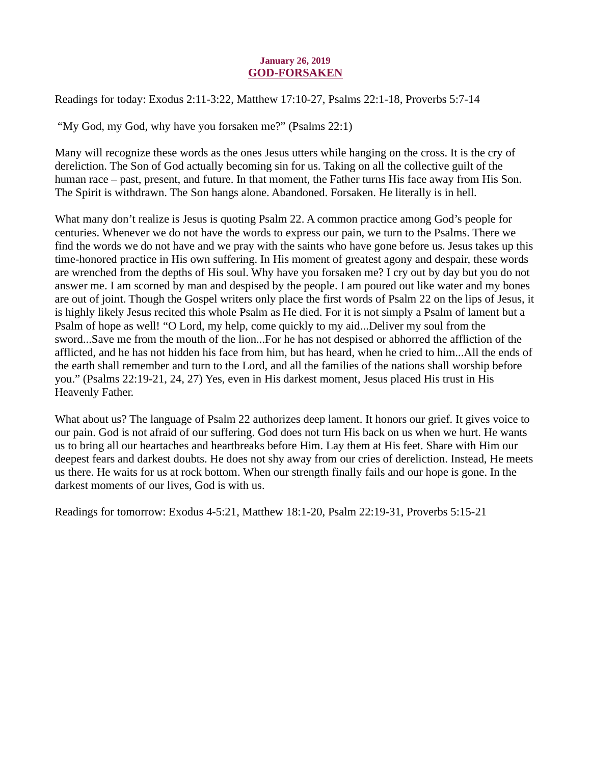#### January 26, 2019 GOD-FORSAKEN

<span id="page-28-0"></span>[Readings for today: Exodus 2:11-3:22, Matthew 17:10-27, Psalms 22:1-18, Proverbs 5:7-14](https://www.biblegateway.com/passage/?search=Exodus+2%3A11-3%3A22%2C+Matthew+17%3A10-27%2C+Psalms+22%3A1-18%2C+Proverbs+5%3A7-14&version=ESV)

"My God, my God, why have you forsaken me?" (Psalms 22:1)

Many will recognize these words as the ones Jesus utters while hanging on the cross. It is the cry of dereliction. The Son of God actually becoming sin for us. Taking on all the collective guilt of the human race – past, present, and future. In that moment, the Father turns His face away from His Son. The Spirit is withdrawn. The Son hangs alone. Abandoned. Forsaken. He literally is in hell.

What many don't realize is Jesus is quoting Psalm 22. A common practice among God's people for centuries. Whenever we do not have the words to express our pain, we turn to the Psalms. There we find the words we do not have and we pray with the saints who have gone before us. Jesus takes up this time-honored practice in His own suffering. In His moment of greatest agony and despair, these words are wrenched from the depths of His soul. Why have you forsaken me? I cry out by day but you do not answer me. I am scorned by man and despised by the people. I am poured out like water and my bones are out of joint. Though the Gospel writers only place the first words of Psalm 22 on the lips of Jesus, it is highly likely Jesus recited this whole Psalm as He died. For it is not simply a Psalm of lament but a Psalm of hope as well! "O Lord, my help, come quickly to my aid...Deliver my soul from the sword...Save me from the mouth of the lion...For he has not despised or abhorred the affliction of the afflicted, and he has not hidden his face from him, but has heard, when he cried to him...All the ends of the earth shall remember and turn to the Lord, and all the families of the nations shall worship before you." (Psalms 22:19-21, 24, 27) Yes, even in His darkest moment, Jesus placed His trust in His Heavenly Father.

What about us? The language of Psalm 22 authorizes deep lament. It honors our grief. It gives voice to our pain. God is not afraid of our suffering. God does not turn His back on us when we hurt. He wants us to bring all our heartaches and heartbreaks before Him. Lay them at His feet. Share with Him our deepest fears and darkest doubts. He does not shy away from our cries of dereliction. Instead, He meets us there. He waits for us at rock bottom. When our strength finally fails and our hope is gone. In the darkest moments of our lives, God is with us.

Readings for tomorrow: Exodus 4-5:21, Matthew 18:1-20, Psalm 22:19-31, Proverbs 5:15-21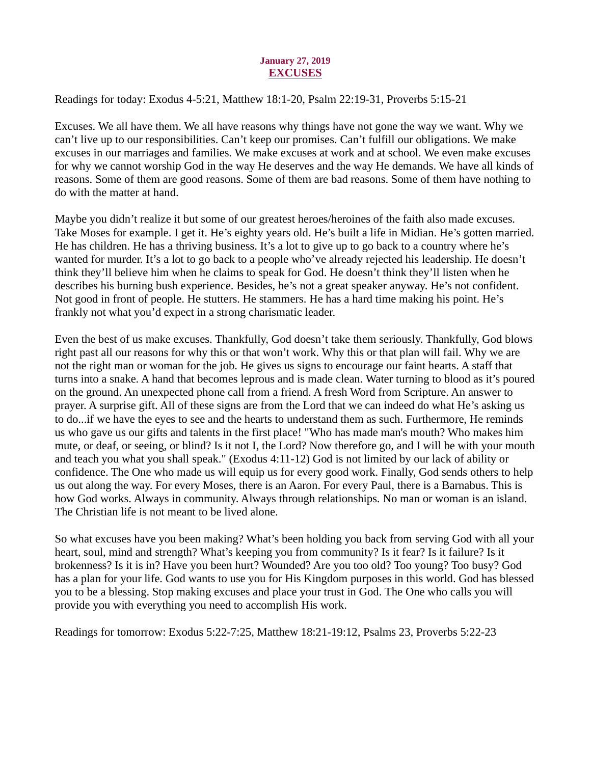#### January 27, 2019 EXCUSES

<span id="page-29-0"></span>[Readings for today: Exodus 4-5:21, Matthew 18:1-20, Psalm 22:19-31, Proverbs 5:15-21](https://www.biblegateway.com/passage/?search=Exodus+4-5%3A21%2C+Matthew+18%3A1-20%2C+Psalm+22%3A19-31%2C+Proverbs+5%3A15-21&version=ESV)

Excuses. We all have them. We all have reasons why things have not gone the way we want. Why we can't live up to our responsibilities. Can't keep our promises. Can't fulfill our obligations. We make excuses in our marriages and families. We make excuses at work and at school. We even make excuses for why we cannot worship God in the way He deserves and the way He demands. We have all kinds of reasons. Some of them are good reasons. Some of them are bad reasons. Some of them have nothing to do with the matter at hand.

Maybe you didn't realize it but some of our greatest heroes/heroines of the faith also made excuses. Take Moses for example. I get it. He's eighty years old. He's built a life in Midian. He's gotten married. He has children. He has a thriving business. It's a lot to give up to go back to a country where he's wanted for murder. It's a lot to go back to a people who've already rejected his leadership. He doesn't think they'll believe him when he claims to speak for God. He doesn't think they'll listen when he describes his burning bush experience. Besides, he's not a great speaker anyway. He's not confident. Not good in front of people. He stutters. He stammers. He has a hard time making his point. He's frankly not what you'd expect in a strong charismatic leader.

Even the best of us make excuses. Thankfully, God doesn't take them seriously. Thankfully, God blows right past all our reasons for why this or that won't work. Why this or that plan will fail. Why we are not the right man or woman for the job. He gives us signs to encourage our faint hearts. A staff that turns into a snake. A hand that becomes leprous and is made clean. Water turning to blood as it's poured on the ground. An unexpected phone call from a friend. A fresh Word from Scripture. An answer to prayer. A surprise gift. All of these signs are from the Lord that we can indeed do what He's asking us to do...if we have the eyes to see and the hearts to understand them as such. Furthermore, He reminds us who gave us our gifts and talents in the first place! "Who has made man's mouth? Who makes him mute, or deaf, or seeing, or blind? Is it not I, the Lord? Now therefore go, and I will be with your mouth and teach you what you shall speak." (Exodus 4:11-12) God is not limited by our lack of ability or confidence. The One who made us will equip us for every good work. Finally, God sends others to help us out along the way. For every Moses, there is an Aaron. For every Paul, there is a Barnabus. This is how God works. Always in community. Always through relationships. No man or woman is an island. The Christian life is not meant to be lived alone.

So what excuses have you been making? What's been holding you back from serving God with all your heart, soul, mind and strength? What's keeping you from community? Is it fear? Is it failure? Is it brokenness? Is it is in? Have you been hurt? Wounded? Are you too old? Too young? Too busy? God has a plan for your life. God wants to use you for His Kingdom purposes in this world. God has blessed you to be a blessing. Stop making excuses and place your trust in God. The One who calls you will provide you with everything you need to accomplish His work.

Readings for tomorrow: Exodus 5:22-7:25, Matthew 18:21-19:12, Psalms 23, Proverbs 5:22-23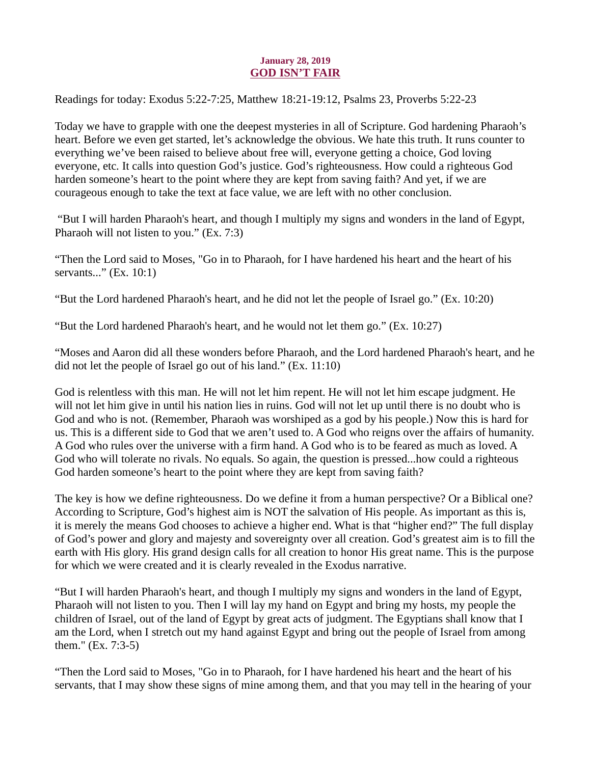#### January 28, 2019 GOD ISN'T FAIR

<span id="page-30-0"></span>[Readings for today: Exodus 5:22-7:25, Matthew 18:21-19:12, Psalms 23, Proverbs 5:22-23](https://www.biblegateway.com/passage/?search=Exodus+5%3A22-7%3A25%2C+Matthew+18%3A21-19%3A12%2C+Psalms+23%2C+Proverbs+5%3A22-23&version=ESV)

Today we have to grapple with one the deepest mysteries in all of Scripture. God hardening Pharaoh's heart. Before we even get started, let's acknowledge the obvious. We hate this truth. It runs counter to everything we've been raised to believe about free will, everyone getting a choice, God loving everyone, etc. It calls into question God's justice. God's righteousness. How could a righteous God harden someone's heart to the point where they are kept from saving faith? And yet, if we are courageous enough to take the text at face value, we are left with no other conclusion.

 "But I will harden Pharaoh's heart, and though I multiply my signs and wonders in the land of Egypt, Pharaoh will not listen to you." (Ex. 7:3)

"Then the Lord said to Moses, "Go in to Pharaoh, for I have hardened his heart and the heart of his servants..." (Ex. 10:1)

"But the Lord hardened Pharaoh's heart, and he did not let the people of Israel go." (Ex. 10:20)

"But the Lord hardened Pharaoh's heart, and he would not let them go." (Ex. 10:27)

"Moses and Aaron did all these wonders before Pharaoh, and the Lord hardened Pharaoh's heart, and he did not let the people of Israel go out of his land." (Ex. 11:10)

God is relentless with this man. He will not let him repent. He will not let him escape judgment. He will not let him give in until his nation lies in ruins. God will not let up until there is no doubt who is God and who is not. (Remember, Pharaoh was worshiped as a god by his people.) Now this is hard for us. This is a different side to God that we aren't used to. A God who reigns over the affairs of humanity. A God who rules over the universe with a firm hand. A God who is to be feared as much as loved. A God who will tolerate no rivals. No equals. So again, the question is pressed...how could a righteous God harden someone's heart to the point where they are kept from saving faith?

The key is how we define righteousness. Do we define it from a human perspective? Or a Biblical one? According to Scripture, God's highest aim is NOT the salvation of His people. As important as this is, it is merely the means God chooses to achieve a higher end. What is that "higher end?" The full display of God's power and glory and majesty and sovereignty over all creation. God's greatest aim is to fill the earth with His glory. His grand design calls for all creation to honor His great name. This is the purpose for which we were created and it is clearly revealed in the Exodus narrative.

"But I will harden Pharaoh's heart, and though I multiply my signs and wonders in the land of Egypt, Pharaoh will not listen to you. Then I will lay my hand on Egypt and bring my hosts, my people the children of Israel, out of the land of Egypt by great acts of judgment. The Egyptians shall know that I am the Lord, when I stretch out my hand against Egypt and bring out the people of Israel from among them." (Ex. 7:3-5)

"Then the Lord said to Moses, "Go in to Pharaoh, for I have hardened his heart and the heart of his servants, that I may show these signs of mine among them, and that you may tell in the hearing of your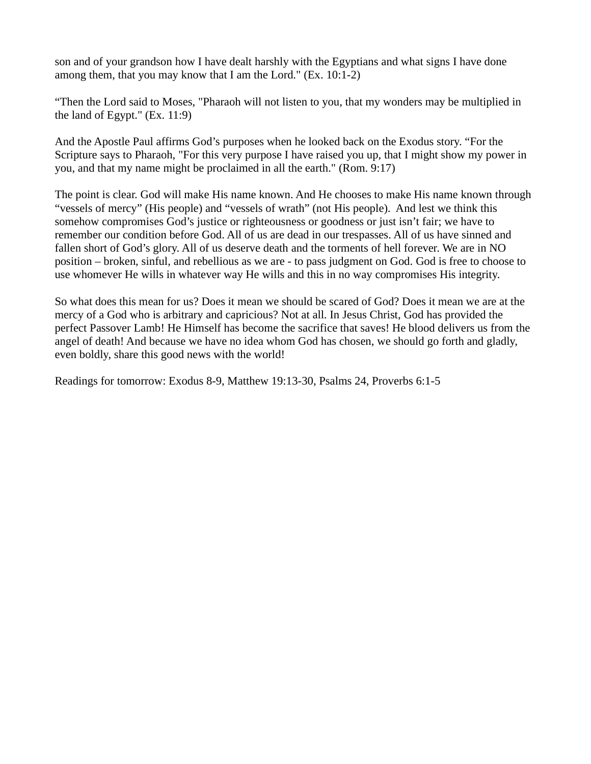son and of your grandson how I have dealt harshly with the Egyptians and what signs I have done among them, that you may know that I am the Lord." (Ex. 10:1-2)

"Then the Lord said to Moses, "Pharaoh will not listen to you, that my wonders may be multiplied in the land of Egypt." (Ex. 11:9)

And the Apostle Paul affirms God's purposes when he looked back on the Exodus story. "For the Scripture says to Pharaoh, "For this very purpose I have raised you up, that I might show my power in you, and that my name might be proclaimed in all the earth." (Rom. 9:17)

The point is clear. God will make His name known. And He chooses to make His name known through "vessels of mercy" (His people) and "vessels of wrath" (not His people). And lest we think this somehow compromises God's justice or righteousness or goodness or just isn't fair; we have to remember our condition before God. All of us are dead in our trespasses. All of us have sinned and fallen short of God's glory. All of us deserve death and the torments of hell forever. We are in NO position – broken, sinful, and rebellious as we are - to pass judgment on God. God is free to choose to use whomever He wills in whatever way He wills and this in no way compromises His integrity.

So what does this mean for us? Does it mean we should be scared of God? Does it mean we are at the mercy of a God who is arbitrary and capricious? Not at all. In Jesus Christ, God has provided the perfect Passover Lamb! He Himself has become the sacrifice that saves! He blood delivers us from the angel of death! And because we have no idea whom God has chosen, we should go forth and gladly, even boldly, share this good news with the world!

Readings for tomorrow: Exodus 8-9, Matthew 19:13-30, Psalms 24, Proverbs 6:1-5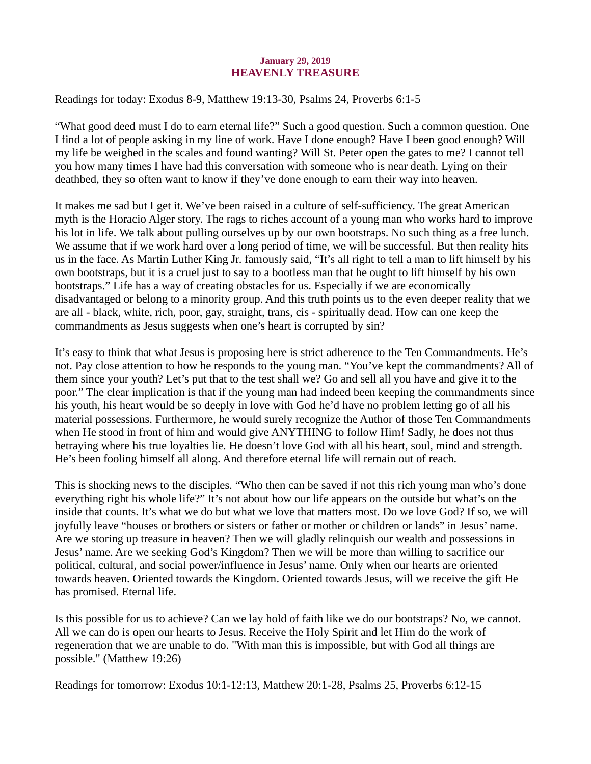#### January 29, 2019 HEAVENLY TREASURE

<span id="page-32-0"></span>[Readings for today: Exodus 8-9, Matthew 19:13-30, Psalms 24, Proverbs 6:1-5](https://www.biblegateway.com/passage/?search=Exodus+8-9%2C+Matthew+19%3A13-30%2C+Psalms+24%2C+Proverbs+6%3A1-5&version=ESV)

"What good deed must I do to earn eternal life?" Such a good question. Such a common question. One I find a lot of people asking in my line of work. Have I done enough? Have I been good enough? Will my life be weighed in the scales and found wanting? Will St. Peter open the gates to me? I cannot tell you how many times I have had this conversation with someone who is near death. Lying on their deathbed, they so often want to know if they've done enough to earn their way into heaven.

It makes me sad but I get it. We've been raised in a culture of self-sufficiency. The great American myth is the Horacio Alger story. The rags to riches account of a young man who works hard to improve his lot in life. We talk about pulling ourselves up by our own bootstraps. No such thing as a free lunch. We assume that if we work hard over a long period of time, we will be successful. But then reality hits us in the face. As Martin Luther King Jr. famously said, "It's all right to tell a man to lift himself by his own bootstraps, but it is a cruel just to say to a bootless man that he ought to lift himself by his own bootstraps." Life has a way of creating obstacles for us. Especially if we are economically disadvantaged or belong to a minority group. And this truth points us to the even deeper reality that we are all - black, white, rich, poor, gay, straight, trans, cis - spiritually dead. How can one keep the commandments as Jesus suggests when one's heart is corrupted by sin?

It's easy to think that what Jesus is proposing here is strict adherence to the Ten Commandments. He's not. Pay close attention to how he responds to the young man. "You've kept the commandments? All of them since your youth? Let's put that to the test shall we? Go and sell all you have and give it to the poor." The clear implication is that if the young man had indeed been keeping the commandments since his youth, his heart would be so deeply in love with God he'd have no problem letting go of all his material possessions. Furthermore, he would surely recognize the Author of those Ten Commandments when He stood in front of him and would give ANYTHING to follow Him! Sadly, he does not thus betraying where his true loyalties lie. He doesn't love God with all his heart, soul, mind and strength. He's been fooling himself all along. And therefore eternal life will remain out of reach.

This is shocking news to the disciples. "Who then can be saved if not this rich young man who's done everything right his whole life?" It's not about how our life appears on the outside but what's on the inside that counts. It's what we do but what we love that matters most. Do we love God? If so, we will joyfully leave "houses or brothers or sisters or father or mother or children or lands" in Jesus' name. Are we storing up treasure in heaven? Then we will gladly relinquish our wealth and possessions in Jesus' name. Are we seeking God's Kingdom? Then we will be more than willing to sacrifice our political, cultural, and social power/influence in Jesus' name. Only when our hearts are oriented towards heaven. Oriented towards the Kingdom. Oriented towards Jesus, will we receive the gift He has promised. Eternal life.

Is this possible for us to achieve? Can we lay hold of faith like we do our bootstraps? No, we cannot. All we can do is open our hearts to Jesus. Receive the Holy Spirit and let Him do the work of regeneration that we are unable to do. "With man this is impossible, but with God all things are possible." (Matthew 19:26)

Readings for tomorrow: Exodus 10:1-12:13, Matthew 20:1-28, Psalms 25, Proverbs 6:12-15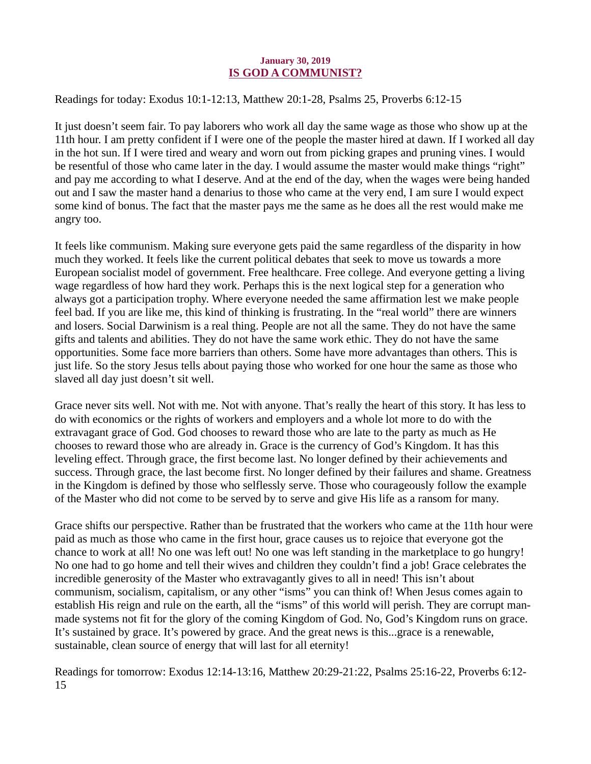#### January 30, 2019 IS GOD A COMMUNIST?

<span id="page-33-0"></span>[Readings for today: Exodus 10:1-12:13, Matthew 20:1-28, Psalms 25, Proverbs 6:12-15](https://www.biblegateway.com/passage/?search=Exodus+10%3A1-12%3A13%2C+Matthew+20%3A1-28%2C+Psalms+25%2C+Proverbs+6%3A12-15&version=ESV)

It just doesn't seem fair. To pay laborers who work all day the same wage as those who show up at the 11th hour. I am pretty confident if I were one of the people the master hired at dawn. If I worked all day in the hot sun. If I were tired and weary and worn out from picking grapes and pruning vines. I would be resentful of those who came later in the day. I would assume the master would make things "right" and pay me according to what I deserve. And at the end of the day, when the wages were being handed out and I saw the master hand a denarius to those who came at the very end, I am sure I would expect some kind of bonus. The fact that the master pays me the same as he does all the rest would make me angry too.

It feels like communism. Making sure everyone gets paid the same regardless of the disparity in how much they worked. It feels like the current political debates that seek to move us towards a more European socialist model of government. Free healthcare. Free college. And everyone getting a living wage regardless of how hard they work. Perhaps this is the next logical step for a generation who always got a participation trophy. Where everyone needed the same affirmation lest we make people feel bad. If you are like me, this kind of thinking is frustrating. In the "real world" there are winners and losers. Social Darwinism is a real thing. People are not all the same. They do not have the same gifts and talents and abilities. They do not have the same work ethic. They do not have the same opportunities. Some face more barriers than others. Some have more advantages than others. This is just life. So the story Jesus tells about paying those who worked for one hour the same as those who slaved all day just doesn't sit well.

Grace never sits well. Not with me. Not with anyone. That's really the heart of this story. It has less to do with economics or the rights of workers and employers and a whole lot more to do with the extravagant grace of God. God chooses to reward those who are late to the party as much as He chooses to reward those who are already in. Grace is the currency of God's Kingdom. It has this leveling effect. Through grace, the first become last. No longer defined by their achievements and success. Through grace, the last become first. No longer defined by their failures and shame. Greatness in the Kingdom is defined by those who selflessly serve. Those who courageously follow the example of the Master who did not come to be served by to serve and give His life as a ransom for many.

Grace shifts our perspective. Rather than be frustrated that the workers who came at the 11th hour were paid as much as those who came in the first hour, grace causes us to rejoice that everyone got the chance to work at all! No one was left out! No one was left standing in the marketplace to go hungry! No one had to go home and tell their wives and children they couldn't find a job! Grace celebrates the incredible generosity of the Master who extravagantly gives to all in need! This isn't about communism, socialism, capitalism, or any other "isms" you can think of! When Jesus comes again to establish His reign and rule on the earth, all the "isms" of this world will perish. They are corrupt manmade systems not fit for the glory of the coming Kingdom of God. No, God's Kingdom runs on grace. It's sustained by grace. It's powered by grace. And the great news is this...grace is a renewable, sustainable, clean source of energy that will last for all eternity!

Readings for tomorrow: Exodus 12:14-13:16, Matthew 20:29-21:22, Psalms 25:16-22, Proverbs 6:12- 15